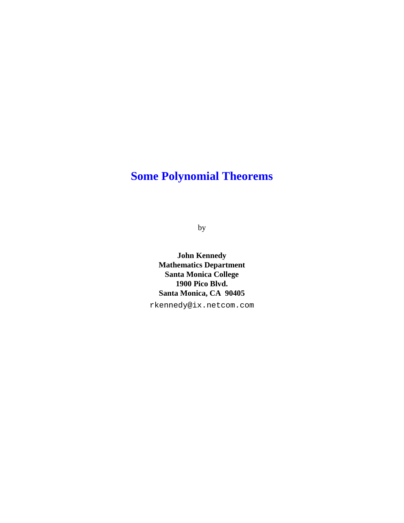# **Some Polynomial Theorems**

by

**John Kennedy Mathematics Department Santa Monica College 1900 Pico Blvd. Santa Monica, CA 90405**

rkennedy@ix.netcom.com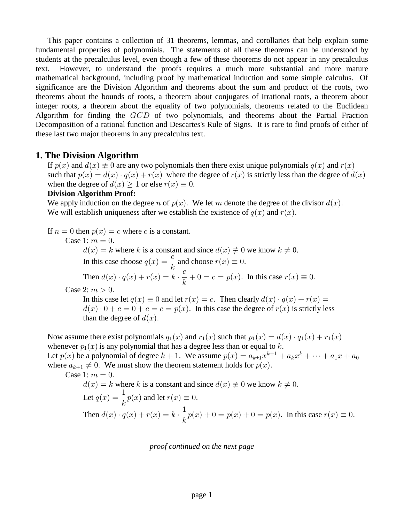This paper contains a collection of 31 theorems, lemmas, and corollaries that help explain some fundamental properties of polynomials. The statements of all these theorems can be understood by students at the precalculus level, even though a few of these theorems do not appear in any precalculus text. However, to understand the proofs requires a much more substantial and more mature mathematical background, including proof by mathematical induction and some simple calculus. Of significance are the Division Algorithm and theorems about the sum and product of the roots, two theorems about the bounds of roots, a theorem about conjugates of irrational roots, a theorem about integer roots, a theorem about the equality of two polynomials, theorems related to the Euclidean Algorithm for finding the  $GCD$  of two polynomials, and theorems about the Partial Fraction Decomposition of a rational function and Descartes's Rule of Signs. It is rare to find proofs of either of these last two major theorems in any precalculus text.

#### **1. The Division Algorithm**

If  $p(x)$  and  $d(x) \neq 0$  are any two polynomials then there exist unique polynomials  $q(x)$  and  $r(x)$ such that  $p(x) = d(x) \cdot q(x) + r(x)$  where the degree of  $r(x)$  is strictly less than the degree of  $d(x)$ when the degree of  $d(x) \geq 1$  or else  $r(x) \equiv 0$ .

#### **Division Algorithm Proof:**

We apply induction on the degree n of  $p(x)$ . We let m denote the degree of the divisor  $d(x)$ . We will establish uniqueness after we establish the existence of  $q(x)$  and  $r(x)$ .

If  $n = 0$  then  $p(x) = c$  where c is a constant.

Case 1:  $m = 0$ .

 $d(x) = k$  where k is a constant and since  $d(x) \neq 0$  we know  $k \neq 0$ . In this case choose  $q(x) = \frac{c}{1}$  and choose  $r(x) \equiv 0$ .  $\boldsymbol{k}$ 

Then 
$$
d(x) \cdot q(x) + r(x) = k \cdot \frac{c}{k} + 0 = c = p(x)
$$
. In this case  $r(x) \equiv 0$ .

Case 2:  $m > 0$ .

In this case let  $q(x) \equiv 0$  and let  $r(x) = c$ . Then clearly  $d(x) \cdot q(x) + r(x) = 0$  $d(x) \cdot 0 + c = 0 + c = c = p(x)$ . In this case the degree of  $r(x)$  is strictly less than the degree of  $d(x)$ .

Now assume there exist polynomials  $q_1(x)$  and  $r_1(x)$  such that  $p_1(x) = d(x) \cdot q_1(x) + r_1(x)$ whenever  $p_1(x)$  is any polynomial that has a degree less than or equal to k. Let  $p(x)$  be a polynomial of degree  $k + 1$ . We assume  $p(x) = a_{k+1}x^{k+1} + a_kx^k + \cdots + a_1x + a_0$ where  $a_{k+1} \neq 0$ . We must show the theorem statement holds for  $p(x)$ .

Case 1:  $m = 0$ .

$$
d(x) = k
$$
 where k is a constant and since  $d(x) \neq 0$  we know  $k \neq 0$ .  
Let  $q(x) = \frac{1}{k}p(x)$  and let  $r(x) \equiv 0$ .  
Then  $d(x) \cdot q(x) + r(x) = k \cdot \frac{1}{k}p(x) + 0 = p(x) + 0 = p(x)$ . In this case  $r(x) \equiv 0$ .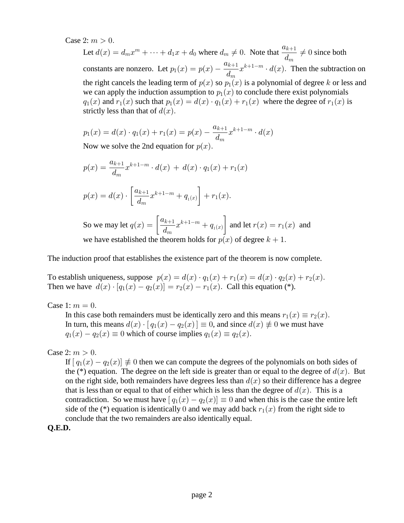Case 2:  $m > 0$ .

Let  $d(x) = d_m x^m + \dots + d_1 x + d_0$  where  $d_m \neq 0$ . Note that  $\frac{a_{k+1}}{d_m} \neq 0$  since both constants are nonzero. Let  $p_1(x) = p(x) - \frac{a_{k+1}}{1}x^{k+1-m} \cdot d(x)$ . Then the subtraction on  $p_1(x) = p(x) - \frac{1}{d}$  $k+1$  $\boldsymbol{m}$  $k+1-m$ the right cancels the leading term of  $p(x)$  so  $p_1(x)$  is a polynomial of degree k or less and we can apply the induction assumption to  $p_1(x)$  to conclude there exist polynomials  $q_1(x)$  and  $r_1(x)$  such that  $p_1(x) = d(x) \cdot q_1(x) + r_1(x)$  where the degree of  $r_1(x)$  is strictly less than that of  $d(x)$ .

$$
p_1(x) = d(x) \cdot q_1(x) + r_1(x) = p(x) - \frac{a_{k+1}}{d_m} x^{k+1-m} \cdot d(x)
$$
  
Now we solve the 2nd equation for  $p(x)$ 

Now we solve the 2nd equation for  $p(x)$ .

$$
p(x) = \frac{a_{k+1}}{d_m} x^{k+1-m} \cdot d(x) + d(x) \cdot q_1(x) + r_1(x)
$$
  

$$
p(x) = d(x) \cdot \left[ \frac{a_{k+1}}{d_m} x^{k+1-m} + q_{1(x)} \right] + r_1(x).
$$
  
So we may let  $q(x) = \left[ \frac{a_{k+1}}{d_m} x^{k+1-m} + q_{1(x)} \right]$  and let  $r(x) = r_1(x)$  and

we have established the theorem holds for  $p(x)$  of degree  $k + 1$ .

The induction proof that establishes the existence part of the theorem is now complete.

To establish uniqueness, suppose  $p(x) = d(x) \cdot q_1(x) + r_1(x) = d(x) \cdot q_2(x) + r_2(x)$ . Then we have  $d(x) \cdot [q_1(x) - q_2(x)] = r_2(x) - r_1(x)$ . Call this equation (\*).

Case 1:  $m = 0$ .

In this case both remainders must be identically zero and this means  $r_1(x) \equiv r_2(x)$ . In turn, this means  $d(x) \cdot [q_1(x) - q_2(x)] \equiv 0$ , and since  $d(x) \not\equiv 0$  we must have  $q_1(x) - q_2(x) \equiv 0$  which of course implies  $q_1(x) \equiv q_2(x)$ .

Case 2:  $m > 0$ .

If  $[q_1(x) - q_2(x)] \neq 0$  then we can compute the degrees of the polynomials on both sides of the (\*) equation. The degree on the left side is greater than or equal to the degree of  $d(x)$ . But on the right side, both remainders have degrees less than  $d(x)$  so their difference has a degree that is less than or equal to that of either which is less than the degree of  $d(x)$ . This is a contradiction. So we must have  $[q_1(x) - q_2(x)] \equiv 0$  and when this is the case the entire left side of the (\*) equation is identically 0 and we may add back  $r_1(x)$  from the right side to conclude that the two remainders are also identically equal.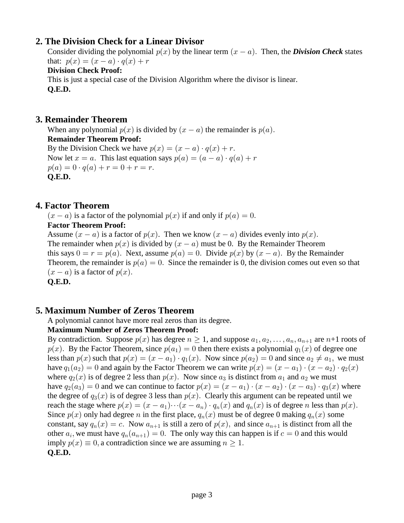# **2. The Division Check for a Linear Divisor**

Consider dividing the polynomial  $p(x)$  by the linear term  $(x - a)$ . Then, the *Division Check* states that:  $p(x) = (x - a) \cdot q(x) + r$ 

### **Division Check Proof:**

 This is just a special case of the Division Algorithm where the divisor is linear.  **Q.E.D.**

# **3. Remainder Theorem**

When any polynomial  $p(x)$  is divided by  $(x - a)$  the remainder is  $p(a)$ .  **Remainder Theorem Proof:** By the Division Check we have  $p(x) = (x - a) \cdot q(x) + r$ . Now let  $x = a$ . This last equation says  $p(a) = (a - a) \cdot q(a) + r$  $p(a) = 0 \cdot q(a) + r = 0 + r = r.$  **Q.E.D.**

# **4. Factor Theorem**

 $(x - a)$  is a factor of the polynomial  $p(x)$  if and only if  $p(a) = 0$ .  **Factor Theorem Proof:**

Assume  $(x - a)$  is a factor of  $p(x)$ . Then we know  $(x - a)$  divides evenly into  $p(x)$ . The remainder when  $p(x)$  is divided by  $(x - a)$  must be 0. By the Remainder Theorem this says  $0 = r = p(a)$ . Next, assume  $p(a) = 0$ . Divide  $p(x)$  by  $(x - a)$ . By the Remainder Theorem, the remainder is  $p(a) = 0$ . Since the remainder is 0, the division comes out even so that  $(x - a)$  is a factor of  $p(x)$ .

 **Q.E.D.**

# **5. Maximum Number of Zeros Theorem**

A polynomial cannot have more real zeros than its degree.

### **Maximum Number of Zeros Theorem Proof:**

By contradiction. Suppose  $p(x)$  has degree  $n \ge 1$ , and suppose  $a_1, a_2, \ldots, a_n, a_{n+1}$  are  $n+1$  roots of  $p(x)$ . By the Factor Theorem, since  $p(a_1) = 0$  then there exists a polynomial  $q_1(x)$  of degree one less than  $p(x)$  such that  $p(x) = (x - a_1) \cdot q_1(x)$ . Now since  $p(a_2) = 0$  and since  $a_2 \neq a_1$ , we must have  $q_1(a_2) = 0$  and again by the Factor Theorem we can write  $p(x) = (x - a_1) \cdot (x - a_2) \cdot q_2(x)$ where  $q_2(x)$  is of degree 2 less than  $p(x)$ . Now since  $a_3$  is distinct from  $a_1$  and  $a_2$  we must have  $q_2(a_3) = 0$  and we can continue to factor  $p(x) = (x - a_1) \cdot (x - a_2) \cdot (x - a_3) \cdot q_3(x)$  where the degree of  $q_3(x)$  is of degree 3 less than  $p(x)$ . Clearly this argument can be repeated until we reach the stage where  $p(x) = (x - a_1) \cdots (x - a_n) \cdot q_n(x)$  and  $q_n(x)$  is of degree n less than  $p(x)$ . Since  $p(x)$  only had degree n in the first place,  $q_n(x)$  must be of degree 0 making  $q_n(x)$  some constant, say  $q_n(x) = c$ . Now  $a_{n+1}$  is still a zero of  $p(x)$ , and since  $a_{n+1}$  is distinct from all the other  $a_i$ , we must have  $q_n(a_{n+1}) = 0$ . The only way this can happen is if  $c = 0$  and this would imply  $p(x) \equiv 0$ , a contradiction since we are assuming  $n \ge 1$ .  **Q.E.D.**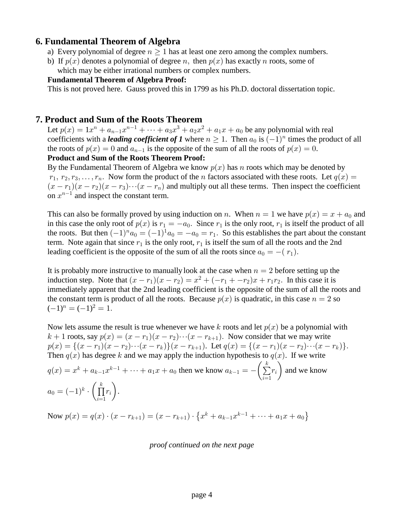### **6. Fundamental Theorem of Algebra**

- a) Every polynomial of degree  $n \geq 1$  has at least one zero among the complex numbers.
- b) If  $p(x)$  denotes a polynomial of degree n, then  $p(x)$  has exactly n roots, some of which may be either irrational numbers or complex numbers.

#### **Fundamental Theorem of Algebra Proof:**

This is not proved here. Gauss proved this in 1799 as his Ph.D. doctoral dissertation topic.

### **7. Product and Sum of the Roots Theorem**

Let  $p(x) = 1x^n + a_{n-1}x^{n-1} + \cdots + a_3x^3 + a_2x^2 + a_1x + a_0$  be any polynomial with real coefficients with a *leading coefficient of 1* where  $n \ge 1$ . Then  $a_0$  is  $(-1)^n$  times the product of all the roots of  $p(x) = 0$  and  $a_{n-1}$  is the opposite of the sum of all the roots of  $p(x) = 0$ .

#### **Product and Sum of the Roots Theorem Proof:**

By the Fundamental Theorem of Algebra we know  $p(x)$  has n roots which may be denoted by  $r_1, r_2, r_3, \ldots, r_n$ . Now form the product of the *n* factors associated with these roots. Let  $q(x)$  =  $(x - r_1)(x - r_2)(x - r_3) \cdots (x - r_n)$  and multiply out all these terms. Then inspect the coefficient on  $x^{n-1}$  and inspect the constant term.

This can also be formally proved by using induction on n. When  $n = 1$  we have  $p(x) = x + a_0$  and in this case the only root of  $p(x)$  is  $r_1 = -a_0$ . Since  $r_1$  is the only root,  $r_1$  is itself the product of all the roots. But then  $(-1)^n a_0 = (-1)^1 a_0 = -a_0 = r_1$ . So this establishes the part about the constant term. Note again that since  $r_1$  is the only root,  $r_1$  is itself the sum of all the roots and the 2nd leading coefficient is the opposite of the sum of all the roots since  $a_0 = -(r_1)$ .

It is probably more instructive to manually look at the case when  $n = 2$  before setting up the induction step. Note that  $(x - r_1)(x - r_2) = x^2 + (-r_1 + -r_2)x + r_1r_2$ . In this case it is immediately apparent that the 2nd leading coefficient is the opposite of the sum of all the roots and the constant term is product of all the roots. Because  $p(x)$  is quadratic, in this case  $n = 2$  so  $(-1)^n = (-1)^2 = 1.$ 

Now lets assume the result is true whenever we have k roots and let  $p(x)$  be a polynomial with  $k+1$  roots, say  $p(x) = (x - r_1)(x - r_2) \cdots (x - r_{k+1})$ . Now consider that we may write  $p(x) = \{(x - r_1)(x - r_2) \cdots (x - r_k)\}(x - r_{k+1})$ . Let  $q(x) = \{(x - r_1)(x - r_2) \cdots (x - r_k)\}.$ Then  $q(x)$  has degree k and we may apply the induction hypothesis to  $q(x)$ . If we write  $t_q(x) = x^k + a_{k-1}x^{k-1} + \cdots + a_1x + a_0$  then we know  $a_{k-1} = -(\sum r_i)$  and we know  $\frac{i=1}{i}$  $\left(\sum_{i=1}^{k} r_i\right)$  $a_0 = (-1)^k \cdot \left( \prod r_i \right).$  $\frac{i-1}{i}$  $\left(\prod^k r_i\right)$ 

Now  $p(x) = q(x) \cdot (x - r_{k+1}) = (x - r_{k+1}) \cdot \{x^k + a_{k-1}x^{k-1} + \cdots + a_1x + a_0\}$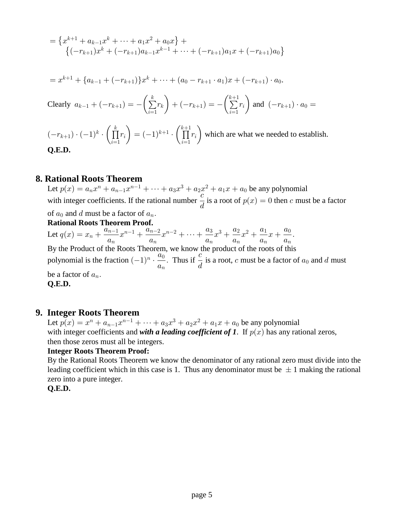$$
= \{x^{k+1} + a_{k-1}x^k + \dots + a_1x^2 + a_0x\} + \{\n-r_{k+1}x^k + (-r_{k+1})a_{k-1}x^{k-1} + \dots + (-r_{k+1})a_1x + (-r_{k+1})a_0\}
$$

$$
= x^{k+1} + \{a_{k-1} + (-r_{k+1})\}x^k + \dots + (a_0 - r_{k+1} \cdot a_1)x + (-r_{k+1}) \cdot a_0.
$$
  
Clearly  $a_{k-1} + (-r_{k+1}) = -\left(\sum_{i=1}^k r_i\right) + (-r_{k+1}) = -\left(\sum_{i=1}^{k+1} r_i\right)$  and  $(-r_{k+1}) \cdot a_0 =$ 

 $(-r_{k+1}) \cdot (-1)^k \cdot \left( \prod r_i \right) = (-1)^{k+1} \cdot \left( \prod r_i \right)$  which are what we needed to establish.  $i=1$   $\vee$   $\qquad \qquad$   $\vee$   $i=1$  $\left(\prod_{i=1}^{k} r_i\right) = (-1)^{k+1} \cdot \left(\prod_{i=1}^{k+1} r_i\right)$  **Q.E.D.**

### **8. Rational Roots Theorem**

Let  $p(x) = a_n x^n + a_{n-1} x^{n-1} + \dots + a_3 x^3 + a_2 x^2 + a_1 x + a_0$  be any polynomial with integer coefficients. If the rational number  $\frac{c}{x}$  is a root of  $p(x) = 0$  then c must be a factor  $\frac{a}{d}$  is a root of  $p(x) = 0$  then c of  $a_0$  and d must be a factor of  $a_n$ .

 **Rational Roots Theorem Proof.**

Let  $q(x) = x_n + \frac{a_{n-1}}{a_n}x^{n-1} + \frac{a_{n-2}}{a_n}x^{n-2} + \cdots + \frac{a_3}{a_n}x^3 + \frac{a_2}{a_n}x^2 + \frac{a_1}{a_n}x + \frac{a_0}{a_n}$ .  $n-1$   $\perp$   $\frac{a_{n-2}}{2}$   $\ldots$   $\perp$   $\frac{a_3}{2}$   $\ldots$   $\perp$   $\frac{a_2}{2}$   $\ldots$   $\perp$   $\frac{a_2}{2}$   $\ldots$   $\perp$   $\frac{a_2}{2}$   $\ldots$   $\perp$ By the Product of the Roots Theorem, we know the product of the roots of this

polynomial is the fraction  $(-1)^n \cdot \frac{a_0}{\cdot}$ . Thus if  $\frac{c}{\cdot}$  is a root, c must be a factor of  $a_0$  and d must  $a_n$   $\cdots$   $a_n$  $n$  ,  $\frac{a_0}{a}$  $\frac{1}{a}$ . Thus if  $\frac{1}{d}$  is a root, c must be a factor of  $a_0$ be a factor of  $a_n$ .

 **Q.E.D.**

### **9. Integer Roots Theorem**

Let  $p(x) = x^n + a_{n-1}x^{n-1} + \cdots + a_3x^3 + a_2x^2 + a_1x + a_0$  be any polynomial with integer coefficients and *with a leading coefficient of 1*. If  $p(x)$  has any rational zeros, then those zeros must all be integers.

#### **Integer Roots Theorem Proof:**

 By the Rational Roots Theorem we know the denominator of any rational zero must divide into the leading coefficient which in this case is 1. Thus any denominator must be  $\pm 1$  making the rational zero into a pure integer.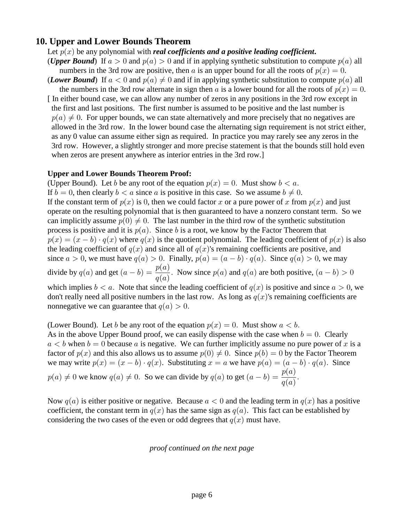### **10. Upper and Lower Bounds Theorem**

### Let  $p(x)$  be any polynomial with *real coefficients and a positive leading coefficient*.

(*Upper Bound*) If  $a > 0$  and  $p(a) > 0$  and if in applying synthetic substitution to compute  $p(a)$  all numbers in the 3rd row are positive, then a is an upper bound for all the roots of  $p(x) = 0$ . (*Lower Bound*) If  $a < 0$  and  $p(a) \neq 0$  and if in applying synthetic substitution to compute  $p(a)$  all

- the numbers in the 3rd row alternate in sign then a is a lower bound for all the roots of  $p(x) = 0$ .
- [ In either bound case, we can allow any number of zeros in any positions in the 3rd row except in the first and last positions. The first number is assumed to be positive and the last number is  $p(a) \neq 0$ . For upper bounds, we can state alternatively and more precisely that no negatives are allowed in the 3rd row. In the lower bound case the alternating sign requirement is not strict either, as any 0 value can assume either sign as required. In practice you may rarely see any zeros in the 3rd row. However, a slightly stronger and more precise statement is that the bounds still hold even when zeros are present anywhere as interior entries in the 3rd row.]

#### **Upper and Lower Bounds Theorem Proof:**

(Upper Bound). Let b be any root of the equation  $p(x) = 0$ . Must show  $b < a$ . If  $b = 0$ , then clearly  $b < a$  since a is positive in this case. So we assume  $b \neq 0$ . If the constant term of  $p(x)$  is 0, then we could factor x or a pure power of x from  $p(x)$  and just operate on the resulting polynomial that is then guaranteed to have a nonzero constant term. So we can implicitly assume  $p(0) \neq 0$ . The last number in the third row of the synthetic substitution process is positive and it is  $p(a)$ . Since b is a root, we know by the Factor Theorem that  $p(x) = (x - b) \cdot q(x)$  where  $q(x)$  is the quotient polynomial. The leading coefficient of  $p(x)$  is also the leading coefficient of  $q(x)$  and since all of  $q(x)$ 's remaining coefficients are positive, and since  $a > 0$ , we must have  $q(a) > 0$ . Finally,  $p(a) = (a - b) \cdot q(a)$ . Since  $q(a) > 0$ , we may divide by  $q(a)$  and get  $(a - b) = \frac{p(a)}{a}$ . Now since  $p(a)$  and  $q(a)$  are both positive,  $(a - b) > 0$  $q(a)$ which implies  $b < a$ . Note that since the leading coefficient of  $q(x)$  is positive and since  $a > 0$ , we don't really need all positive numbers in the last row. As long as  $q(x)$ 's remaining coefficients are nonnegative we can guarantee that  $q(a) > 0$ .

(Lower Bound). Let b be any root of the equation  $p(x) = 0$ . Must show  $a < b$ . As in the above Upper Bound proof, we can easily dispense with the case when  $b = 0$ . Clearly  $a < b$  when  $b = 0$  because a is negative. We can further implicitly assume no pure power of x is a factor of  $p(x)$  and this also allows us to assume  $p(0) \neq 0$ . Since  $p(b) = 0$  by the Factor Theorem we may write  $p(x) = (x - b) \cdot q(x)$ . Substituting  $x = a$  we have  $p(a) = (a - b) \cdot q(a)$ . Since  $p(a) \neq 0$  we know  $q(a) \neq 0$ . So we can divide by  $q(a)$  to get  $(a - b) = \frac{p(a)}{a}$ .  $q(a)$ 

Now  $q(a)$  is either positive or negative. Because  $a < 0$  and the leading term in  $q(x)$  has a positive coefficient, the constant term in  $q(x)$  has the same sign as  $q(a)$ . This fact can be established by considering the two cases of the even or odd degrees that  $q(x)$  must have.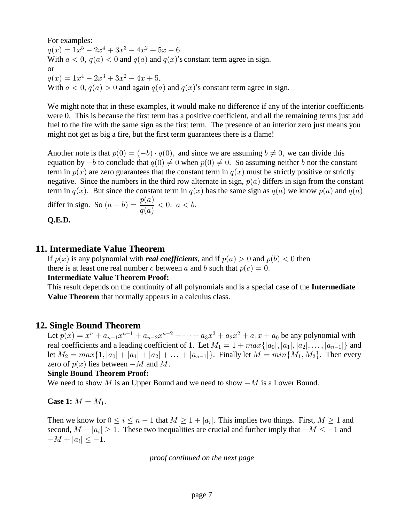For examples:

 $q(x) = 1x^5 - 2x^4 + 3x^3 - 4x^2 + 5x - 6.$ With  $a < 0$ ,  $q(a) < 0$  and  $q(a)$  and  $q(x)'$ s constant term agree in sign. or  $q(x) = 1x^4 - 2x^3 + 3x^2 - 4x + 5.$ With  $a < 0$ ,  $q(a) > 0$  and again  $q(a)$  and  $q(x)'$ s constant term agree in sign.

We might note that in these examples, it would make no difference if any of the interior coefficients were 0. This is because the first term has a positive coefficient, and all the remaining terms just add fuel to the fire with the same sign as the first term. The presence of an interior zero just means you might not get as big a fire, but the first term guarantees there is a flame!

Another note is that  $p(0) = (-b) \cdot q(0)$ , and since we are assuming  $b \neq 0$ , we can divide this equation by  $-b$  to conclude that  $q(0) \neq 0$  when  $p(0) \neq 0$ . So assuming neither b nor the constant term in  $p(x)$  are zero guarantees that the constant term in  $q(x)$  must be strictly positive or strictly negative. Since the numbers in the third row alternate in sign,  $p(a)$  differs in sign from the constant term in  $q(x)$ . But since the constant term in  $q(x)$  has the same sign as  $q(a)$  we know  $p(a)$  and  $q(a)$ differ in sign. So  $(a - b) = \frac{p(a)}{a} < 0$ .  $a < b$ .  $q(a)$ 

 **Q.E.D.**

### **11. Intermediate Value Theorem**

If  $p(x)$  is any polynomial with *real coefficients*, and if  $p(a) > 0$  and  $p(b) < 0$  then there is at least one real number c between a and b such that  $p(c) = 0$ .

 **Intermediate Value Theorem Proof:**

 This result depends on the continuity of all polynomials and is a special case of the **Intermediate Value Theorem** that normally appears in a calculus class.

### **12. Single Bound Theorem**

Let  $p(x) = x^n + a_{n-1}x^{n-1} + a_{n-2}x^{n-2} + \cdots + a_3x^3 + a_2x^2 + a_1x + a_0$  be any polynomial with real coefficients and a leading coefficient of 1. Let  $M_1 = 1 + max\{|a_0|, |a_1|, |a_2|, \ldots, |a_{n-1}|\}$  and let  $M_2 = max\{1, |a_0| + |a_1| + |a_2| + \ldots + |a_{n-1}|\}$ . Finally let  $M = min\{M_1, M_2\}$ . Then every zero of  $p(x)$  lies between  $-M$  and M.

#### **Single Bound Theorem Proof:**

We need to show M is an Upper Bound and we need to show  $-M$  is a Lower Bound.

**Case 1:**  $M = M_1$ .

Then we know for  $0 \le i \le n-1$  that  $M \ge 1 + |a_i|$ . This implies two things. First,  $M \ge 1$  and second,  $M - |a_i| \geq 1$ . These two inequalities are crucial and further imply that  $-M \leq -1$  and  $-M + |a_i| \leq -1.$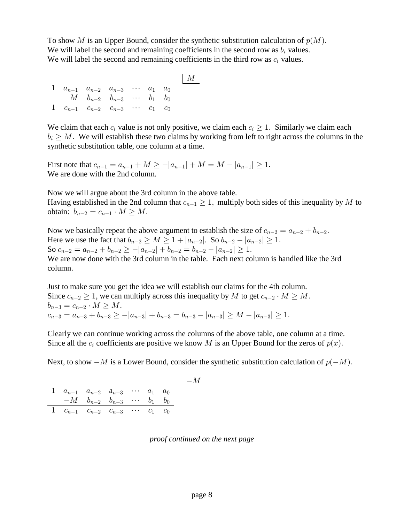To show M is an Upper Bound, consider the synthetic substitution calculation of  $p(M)$ . We will label the second and remaining coefficients in the second row as  $b_i$  values. We will label the second and remaining coefficients in the third row as  $c_i$  values.

|  |                                                      |  | $\mid M$ |
|--|------------------------------------------------------|--|----------|
|  | 1 $a_{n-1}$ $a_{n-2}$ $a_{n-3}$ $\cdots$ $a_1$ $a_0$ |  |          |
|  | $M$ $b_{n-2}$ $b_{n-3}$ $\cdots$ $b_1$ $b_0$         |  |          |
|  | 1 $c_{n-1}$ $c_{n-2}$ $c_{n-3}$ $c_1$ $c_0$          |  |          |

We claim that each  $c_i$  value is not only positive, we claim each  $c_i \geq 1$ . Similarly we claim each  $b_i \geq M$ . We will establish these two claims by working from left to right across the columns in the synthetic substitution table, one column at a time.

First note that  $c_{n-1} = a_{n-1} + M \ge -|a_{n-1}| + M = M - |a_{n-1}| \ge 1$ . We are done with the 2nd column.

 Now we will argue about the 3rd column in the above table. Having established in the 2nd column that  $c_{n-1} \geq 1$ , multiply both sides of this inequality by M to obtain:  $b_{n-2} = c_{n-1} \cdot M \geq M$ .

Now we basically repeat the above argument to establish the size of  $c_{n-2} = a_{n-2} + b_{n-2}$ . Here we use the fact that  $b_{n-2} \ge M \ge 1 + |a_{n-2}|$ . So  $b_{n-2} - |a_{n-2}| \ge 1$ . So  $c_{n-2} = a_{n-2} + b_{n-2} \ge -|a_{n-2}| + b_{n-2} = b_{n-2} - |a_{n-2}| \ge 1.$  We are now done with the 3rd column in the table. Each next column is handled like the 3rd column.

 Just to make sure you get the idea we will establish our claims for the 4th column. Since  $c_{n-2} \geq 1$ , we can multiply across this inequality by M to get  $c_{n-2} \cdot M \geq M$ .  $b_{n-3} = c_{n-2} \cdot M \ge M.$  $c_{n-3} = a_{n-3} + b_{n-3} \ge -|a_{n-3}| + b_{n-3} = b_{n-3} - |a_{n-3}| \ge M - |a_{n-3}| > 1.$ 

 Clearly we can continue working across the columns of the above table, one column at a time. Since all the  $c_i$  coefficients are positive we know M is an Upper Bound for the zeros of  $p(x)$ .

Next, to show  $-M$  is a Lower Bound, consider the synthetic substitution calculation of  $p(-M)$ .

|                                                      |                                               |  |  | $-M$ |
|------------------------------------------------------|-----------------------------------------------|--|--|------|
| 1 $a_{n-1}$ $a_{n-2}$ $a_{n-3}$ $\cdots$ $a_1$ $a_0$ |                                               |  |  |      |
|                                                      | $-M$ $b_{n-2}$ $b_{n-3}$ $\cdots$ $b_1$ $b_0$ |  |  |      |
| 1 $c_{n-1}$ $c_{n-2}$ $c_{n-3}$ $\cdots$ $c_1$ $c_0$ |                                               |  |  |      |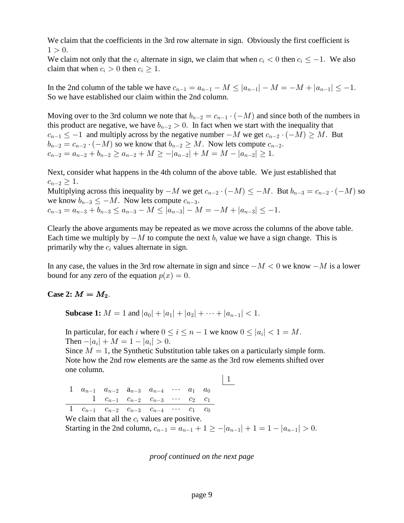We claim that the coefficients in the 3rd row alternate in sign. Obviously the first coefficient is  $1 > 0.$ 

We claim not only that the  $c_i$  alternate in sign, we claim that when  $c_i < 0$  then  $c_i \le -1$ . We also claim that when  $c_i > 0$  then  $c_i \geq 1$ .

In the 2nd column of the table we have  $c_{n-1} = a_{n-1} - M \leq |a_{n-1}| - M = -M + |a_{n-1}| \leq -1$ . So we have established our claim within the 2nd column.

Moving over to the 3rd column we note that  $b_{n-2} = c_{n-1} \cdot (-M)$  and since both of the numbers in this product are negative, we have  $b_{n-2} > 0$ . In fact when we start with the inequality that  $a_{n-1} \leq -1$  and multiply across by the negative number  $-M$  we get  $c_{n-2} \cdot (-M) \geq M$ . But  $b_{n-2}=c_{n-2}\cdot (-M)$  so we know that  $b_{n-2}\geq M$ . Now lets compute  $c_{n-2}$ .  $c_{n-2} = a_{n-2} + b_{n-2} \ge a_{n-2} + M \ge -|a_{n-2}| + M = M - |a_{n-2}| \ge 1.$ 

 Next, consider what happens in the 4th column of the above table. We just established that  $c_{n-2} \geq 1.$ Multiplying across this inequality by  $-M$  we get  $c_{n-2} \cdot (-M) \leq -M$ . But  $b_{n-3} = c_{n-2} \cdot (-M)$  so

we know  $b_{n-3} \leq -M$ . Now lets compute  $c_{n-3}$ .

 $c_{n-3} = a_{n-3} + b_{n-3} \le a_{n-3} - M \le |a_{n-3}| - M = -M + |a_{n-3}| \le -1.$ 

 Clearly the above arguments may be repeated as we move across the columns of the above table. Each time we multiply by  $-M$  to compute the next  $b_i$  value we have a sign change. This is primarily why the  $c_i$  values alternate in sign.

In any case, the values in the 3rd row alternate in sign and since  $-M < 0$  we know  $-M$  is a lower bound for any zero of the equation  $p(x) = 0$ .

**Case 2:**  $M = M_2$ .

**Subcase 1:**  $M = 1$  and  $|a_0| + |a_1| + |a_2| + \cdots + |a_{n-1}| < 1$ .

In particular, for each i where  $0 \le i \le n-1$  we know  $0 \le |a_i| < 1 = M$ . Then  $-|a_i| + M = 1 - |a_i| > 0$ .

Since  $M = 1$ , the Synthetic Substitution table takes on a particularly simple form. Note how the 2nd row elements are the same as the 3rd row elements shifted over one column.

|  |  | 1 $a_{n-1}$ $a_{n-2}$ $a_{n-3}$ $a_{n-4}$ $\cdots$ $a_1$ $a_0$                 |  |  |
|--|--|--------------------------------------------------------------------------------|--|--|
|  |  | $1 \quad c_{n-1} \quad c_{n-2} \quad c_{n-3} \quad \cdots \quad c_2 \quad c_1$ |  |  |
|  |  | 1 $c_{n-1}$ $c_{n-2}$ $c_{n-3}$ $c_{n-4}$ $\cdots$ $c_1$ $c_0$                 |  |  |

We claim that all the  $c_i$  values are positive.

Starting in the 2nd column,  $c_{n-1} = a_{n-1} + 1 \ge -|a_{n-1}| + 1 = 1 - |a_{n-1}| > 0$ .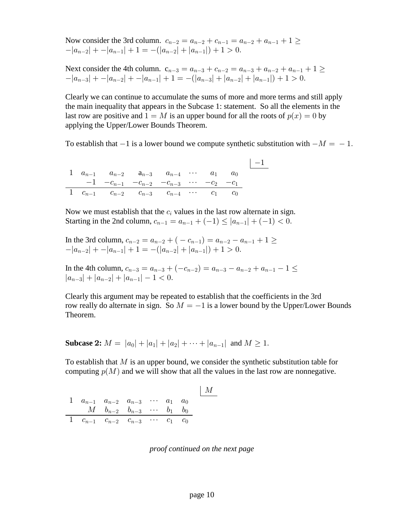Now consider the 3rd column.  $c_{n-2} = a_{n-2} + c_{n-1} = a_{n-2} + a_{n-1} + 1 \geq$  $-|a_{n-2}| + -|a_{n-1}| + 1 = -(|a_{n-2}| + |a_{n-1}|) + 1 > 0.$ 

Next consider the 4th column.  $c_{n-3}=a_{n-3}+c_{n-2}=a_{n-3}+a_{n-2}+a_{n-1}+1\geq$  $-|a_{n-3}| + -|a_{n-2}| + -|a_{n-1}| + 1 = -(|a_{n-3}| + |a_{n-2}| + |a_{n-1}|) + 1 > 0.$ 

 Clearly we can continue to accumulate the sums of more and more terms and still apply the main inequality that appears in the Subcase 1: statement. So all the elements in the last row are positive and  $1 = M$  is an upper bound for all the roots of  $p(x) = 0$  by applying the Upper/Lower Bounds Theorem.

To establish that  $-1$  is a lower bound we compute synthetic substitution with  $-M = -1$ .

|  |                                                                |  |  | $ -1$ |
|--|----------------------------------------------------------------|--|--|-------|
|  | 1 $a_{n-1}$ $a_{n-2}$ $a_{n-3}$ $a_{n-4}$ $\cdots$ $a_1$ $a_0$ |  |  |       |
|  | $-1$ $-c_{n-1}$ $-c_{n-2}$ $-c_{n-3}$ $\cdots$ $-c_2$ $-c_1$   |  |  |       |
|  | 1 $c_{n-1}$ $c_{n-2}$ $c_{n-3}$ $c_{n-4}$ $c_1$ $c_0$          |  |  |       |

Now we must establish that the  $c_i$  values in the last row alternate in sign. Starting in the 2nd column,  $c_{n-1} = a_{n-1} + (-1) \leq |a_{n-1}| + (-1) < 0$ .

In the 3rd column, 
$$
c_{n-2} = a_{n-2} + (-c_{n-1}) = a_{n-2} - a_{n-1} + 1 \ge -|a_{n-2}| + -|a_{n-1}| + 1 = -(|a_{n-2}| + |a_{n-1}|) + 1 > 0.
$$

In the 4th column,  $c_{n-3} = a_{n-3} + (-c_{n-2}) = a_{n-3} - a_{n-2} + a_{n-1} - 1 \leq$  $|a_{n-3}| + |a_{n-2}| + |a_{n-1}| - 1 < 0.$ 

 Clearly this argument may be repeated to establish that the coefficients in the 3rd row really do alternate in sign. So  $M = -1$  is a lower bound by the Upper/Lower Bounds Theorem.

**Subcase 2:**  $M = |a_0| + |a_1| + |a_2| + \cdots + |a_{n-1}|$  and  $M \ge 1$ .

To establish that  $M$  is an upper bound, we consider the synthetic substitution table for computing  $p(M)$  and we will show that all the values in the last row are nonnegative.

$$
\begin{array}{cccccccccc}1&a_{n-1}&a_{n-2}&a_{n-3}&\cdots&a_1&a_0\\&M&b_{n-2}&b_{n-3}&\cdots&b_1&b_0\\ \hline 1&c_{n-1}&c_{n-2}&c_{n-3}&\cdots&c_1&c_0\end{array}
$$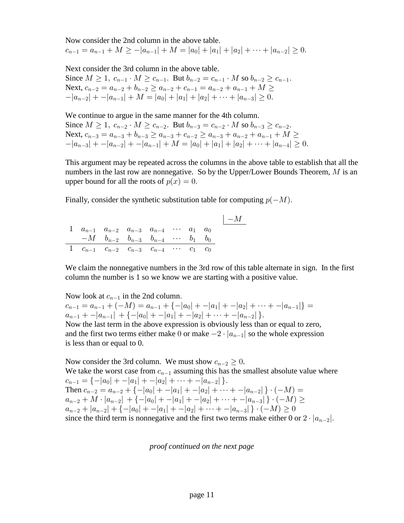Now consider the 2nd column in the above table.  $c_{n-1} = a_{n-1} + M \ge -|a_{n-1}| + M = |a_0| + |a_1| + |a_2| + \cdots + |a_{n-2}| \ge 0.$ 

 Next consider the 3rd column in the above table. Since  $M \ge 1$ ,  $c_{n-1} \cdot M \ge c_{n-1}$ . But  $b_{n-2} = c_{n-1} \cdot M$  so  $b_{n-2} \ge c_{n-1}$ . Next,  $c_{n-2} = a_{n-2} + b_{n-2} \ge a_{n-2} + c_{n-1} = a_{n-2} + a_{n-1} + M \ge$  $-|a_{n-2}| + -|a_{n-1}| + M = |a_0| + |a_1| + |a_2| + \cdots + |a_{n-3}| \geq 0.$ 

 We continue to argue in the same manner for the 4th column. Since  $M \ge 1$ ,  $c_{n-2} \cdot M \ge c_{n-2}$ . But  $b_{n-3} = c_{n-2} \cdot M$  so  $b_{n-3} \ge c_{n-2}$ . Next,  $c_{n-3} = a_{n-3} + b_{n-3} \ge a_{n-3} + c_{n-2} \ge a_{n-3} + a_{n-2} + a_{n-1} + M \ge$  $-|a_{n-3}| + -|a_{n-2}| + -|a_{n-1}| + M = |a_0| + |a_1| + |a_2| + \cdots + |a_{n-4}| \geq 0.$ 

 This argument may be repeated across the columns in the above table to establish that all the numbers in the last row are nonnegative. So by the Upper/Lower Bounds Theorem,  $M$  is an upper bound for all the roots of  $p(x) = 0$ .

Finally, consider the synthetic substitution table for computing  $p(-M)$ .

|  |  |                                                                |  |  | $- M$ |
|--|--|----------------------------------------------------------------|--|--|-------|
|  |  | 1 $a_{n-1}$ $a_{n-2}$ $a_{n-3}$ $a_{n-4}$ $\cdots$ $a_1$ $a_0$ |  |  |       |
|  |  | $-M$ $b_{n-2}$ $b_{n-3}$ $b_{n-4}$ $\cdots$ $b_1$ $b_0$        |  |  |       |
|  |  | 1 $c_{n-1}$ $c_{n-2}$ $c_{n-3}$ $c_{n-4}$ $\cdots$ $c_1$ $c_0$ |  |  |       |

 We claim the nonnegative numbers in the 3rd row of this table alternate in sign. In the first column the number is 1 so we know we are starting with a positive value.

Now look at  $c_{n-1}$  in the 2nd column.  $c_{n-1} = a_{n-1} + (-M) = a_{n-1} + \{-|a_0| + -|a_1| + -|a_2| + \cdots + -|a_{n-1}|\} =$  $a_{n-1}$  + -  $|a_{n-1}|$  + {- $|a_0|$  + -  $|a_1|$  + -  $|a_2|$  +  $\cdots$  + -  $|a_{n-2}|$  }. Now the last term in the above expression is obviously less than or equal to zero, and the first two terms either make 0 or make  $-2 \cdot |a_{n-1}|$  so the whole expression is less than or equal to 0.

Now consider the 3rd column. We must show  $c_{n-2} \geq 0$ . We take the worst case from  $c_{n-1}$  assuming this has the smallest absolute value where  $c_{n-1} = \{-|a_0| + -|a_1| + -|a_2| + \cdots + -|a_{n-2}|\}.$ Then  $c_{n-2} = a_{n-2} + \{-|a_0| + -|a_1| + -|a_2| + \cdots + -|a_{n-2}|\}\cdot(-M) =$  $| a_{n-2} + M \cdot | a_{n-2} | + \{-|a_0| + -|a_1| + -|a_2| + \cdots + -|a_{n-3}| \} \cdot (-M) \geq$  $|a_{n-2}+|a_{n-2}|+\{-|a_0|+|a_1|+|a_2|+\cdots+|a_{n-3}|\}\cdot(-M)\geq 0$ since the third term is nonnegative and the first two terms make either 0 or  $2 \cdot |a_{n-2}|$ .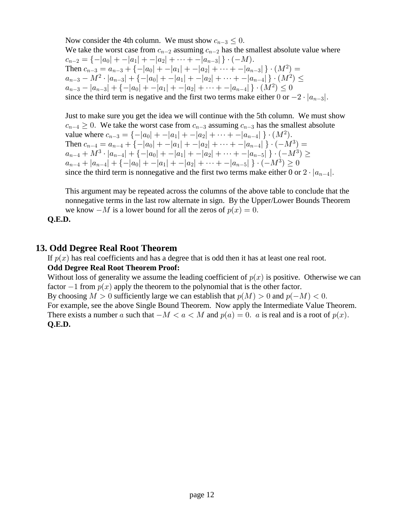Now consider the 4th column. We must show  $c_{n-3} \leq 0$ . We take the worst case from  $c_{n-2}$  assuming  $c_{n-2}$  has the smallest absolute value where  $c_{n-2} = \{-|a_0| + |a_1| + |a_2| + \cdots + |a_{n-3}|\}\cdot(-M).$ Then  $c_{n-3} = a_{n-3} + \{-|a_0| + -|a_1| + -|a_2| + \cdots + -|a_{n-3}|\} \cdot (M^2) =$  $|a_{n-3}-M^2\cdot |a_{n-3}| + \{-|a_0| + -|a_1| + -|a_2| + \cdots + -|a_{n-4}|\}\cdot (M^2) \leq$  $|a_{n-3}-|a_{n-3}|+\{-|a_0|+ -|a_1|+-|a_2|+\cdots+-|a_{n-4}|\}\cdot (M^2)\leq 0.$ since the third term is negative and the first two terms make either 0 or  $-2 \cdot |a_{n-3}|$ .

 Just to make sure you get the idea we will continue with the 5th column. We must show  $c_{n-4} \geq 0$ . We take the worst case from  $c_{n-3}$  assuming  $c_{n-3}$  has the smallest absolute value where  $c_{n-3} = \{-|a_0| + -|a_1| + -|a_2| + \cdots + -|a_{n-4}| \} \cdot (M^2)$ . Then  $c_{n-4} = a_{n-4} + \{-|a_0| + -|a_1| + -|a_2| + \cdots + -|a_{n-4}|\} \cdot (-M^3) =$  $|a_{n-4}+M^3\cdot|a_{n-4}|+\{-|a_0|+ -|a_1|+ -|a_2|+\cdots+-|a_{n-5}|\,\}\cdot(-M^3)\geq 0$  $a_{n-4}+|a_{n-4}|+\{-|a_0|+ -|a_1|+-|a_2|+\cdots+-|a_{n-5}|\,\}\cdot(-M^3)\geq 0$ since the third term is nonnegative and the first two terms make either 0 or  $2 \cdot |a_{n-4}|$ .

 This argument may be repeated across the columns of the above table to conclude that the nonnegative terms in the last row alternate in sign. By the Upper/Lower Bounds Theorem we know  $-M$  is a lower bound for all the zeros of  $p(x) = 0$ .

 **Q.E.D.**

# **13. Odd Degree Real Root Theorem**

If  $p(x)$  has real coefficients and has a degree that is odd then it has at least one real root.  **Odd Degree Real Root Theorem Proof:**

Without loss of generality we assume the leading coefficient of  $p(x)$  is positive. Otherwise we can factor  $-1$  from  $p(x)$  apply the theorem to the polynomial that is the other factor.

By choosing  $M > 0$  sufficiently large we can establish that  $p(M) > 0$  and  $p(-M) < 0$ .

 For example, see the above Single Bound Theorem. Now apply the Intermediate Value Theorem. There exists a number a such that  $-M < a < M$  and  $p(a) = 0$ . a is real and is a root of  $p(x)$ .  **Q.E.D.**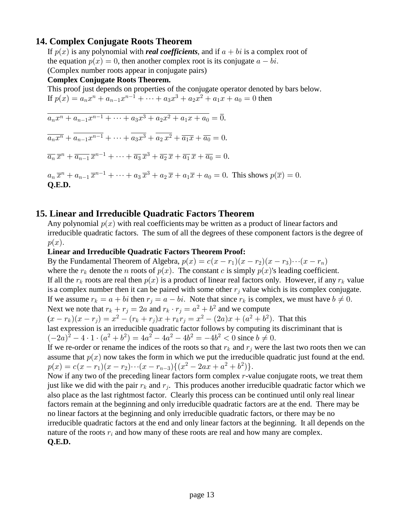# **14. Complex Conjugate Roots Theorem**

If  $p(x)$  is any polynomial with *real coefficients*, and if  $a + bi$  is a complex root of the equation  $p(x) = 0$ , then another complex root is its conjugate  $a - bi$ . (Complex number roots appear in conjugate pairs)

### **Complex Conjugate Roots Theorem.**

 This proof just depends on properties of the conjugate operator denoted by bars below. If  $p(x) = a_n x^n + a_{n-1} x^{n-1} + \dots + a_3 x^3 + a_2 x^2 + a_1 x + a_0 = 0$  then

$$
\overline{a_n x^n + a_{n-1} x^{n-1} + \dots + a_3 x^3 + a_2 x^2 + a_1 x + a_0} = \overline{0}.
$$
  
\n
$$
\overline{a_n x^n} + \overline{a_{n-1} x^{n-1}} + \dots + \overline{a_3 x^3} + \overline{a_2 x^2} + \overline{a_1 x} + \overline{a_0} = 0.
$$
  
\n
$$
\overline{a_n} \overline{x}^n + \overline{a_{n-1}} \overline{x}^{n-1} + \dots + \overline{a_3} \overline{x}^3 + \overline{a_2} \overline{x} + \overline{a_1} \overline{x} + \overline{a_0} = 0.
$$
  
\n
$$
a_n \overline{x}^n + a_{n-1} \overline{x}^{n-1} + \dots + a_3 \overline{x}^3 + a_2 \overline{x} + a_1 \overline{x} + a_0 = 0.
$$
 This shows  $p(\overline{x}) = 0$ .  
\nQ.E.D.

# **15. Linear and Irreducible Quadratic Factors Theorem**

Any polynomial  $p(x)$  with real coefficients may be written as a product of linear factors and irreducible quadratic factors. The sum of all the degrees of these component factors is the degree of  $p(x).$ 

#### **Linear and Irreducible Quadratic Factors Theorem Proof:**

By the Fundamental Theorem of Algebra,  $p(x) = c(x - r_1)(x - r_2)(x - r_3) \cdots (x - r_n)$ where the  $r_k$  denote the *n* roots of  $p(x)$ . The constant *c* is simply  $p(x)$ 's leading coefficient. If all the  $r_k$  roots are real then  $p(x)$  is a product of linear real factors only. However, if any  $r_k$  value is a complex number then it can be paired with some other  $r_j$  value which is its complex conjugate. If we assume  $r_k = a + bi$  then  $r_j = a - bi$ . Note that since  $r_k$  is complex, we must have  $b \neq 0$ . Next we note that  $r_k + r_j = 2a$  and  $r_k \cdot r_j = a^2 + b^2$  and we compute  $(x - r_k)(x - r_j) = x^2 - (r_k + r_j)x + r_kr_j = x^2 - (2a)x + (a^2 + b^2)$ . That this last expression is an irreducible quadratic factor follows by computing its discriminant that is  $\left(-2a\right)^{2} - 4 \cdot 1 \cdot (a^{2} + b^{2}) = 4a^{2} - 4a^{2} - 4b^{2} = -4b^{2} < 0$  since  $b \neq 0$ . If we re-order or rename the indices of the roots so that  $r_k$  and  $r_j$  were the last two roots then we can assume that  $p(x)$  now takes the form in which we put the irreducible quadratic just found at the end.  $p(x) = c(x - r_1)(x - r_2) \cdots (x - r_{n-3}) \{(x^2 - 2ax + a^2 + b^2)\}.$ 

Now if any two of the preceding linear factors form complex  $r$ -value conjugate roots, we treat them just like we did with the pair  $r_k$  and  $r_j$ . This produces another irreducible quadratic factor which we also place as the last rightmost factor. Clearly this process can be continued until only real linear factors remain at the beginning and only irreducible quadratic factors are at the end. There may be no linear factors at the beginning and only irreducible quadratic factors, or there may be no irreducible quadratic factors at the end and only linear factors at the beginning. It all depends on the nature of the roots  $r_i$  and how many of these roots are real and how many are complex.  **Q.E.D.**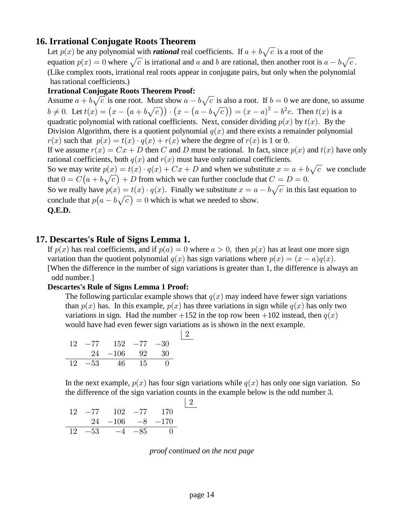# **16. Irrational Conjugate Roots Theorem**

Let  $p(x)$  be any polynomial with *rational* real coefficients. If  $a + b\sqrt{c}$  is a root of the equation  $p(x) = 0$  where  $\sqrt{c}$  is irrational and a and b are rational, then another root is  $a - b\sqrt{c}$ . (Like complex roots, irrational real roots appear in conjugate pairs, but only when the polynomial has rational coefficients.)

### **Irrational Conjugate Roots Theorem Proof:**

Assume  $a + b\sqrt{c}$  is one root. Must show  $a - b\sqrt{c}$  is also a root. If  $b = 0$  we are done, so assume  $b \neq 0$ . Let  $t(x) = (x - (a + b\sqrt{c})) \cdot (x - (a - b\sqrt{c})) = (x - a)^2 - b^2c$ . Then  $t(x)$  is a quadratic polynomial with rational coefficients. Next, consider dividing  $p(x)$  by  $t(x)$ . By the Division Algorithm, there is a quotient polynomial  $q(x)$  and there exists a remainder polynomial  $r(x)$  such that  $p(x) = t(x) \cdot q(x) + r(x)$  where the degree of  $r(x)$  is 1 or 0. If we assume  $r(x) = Cx + D$  then C and D must be rational. In fact, since  $p(x)$  and  $t(x)$  have only rational coefficients, both  $q(x)$  and  $r(x)$  must have only rational coefficients. So we may write  $p(x) = t(x) \cdot q(x) + Cx + D$  and when we substitute  $x = a + b\sqrt{c}$  we conclude that  $0 = C(a + b\sqrt{c}) + D$  from which we can further conclude that  $C = D = 0$ . So we really have  $p(x) = t(x) \cdot q(x)$ . Finally we substitute  $x = a - b\sqrt{c}$  in this last equation to conclude that  $p(a - b\sqrt{c}) = 0$  which is what we needed to show.  **Q.E.D.**

# **17. Descartes's Rule of Signs Lemma 1.**

If  $p(x)$  has real coefficients, and if  $p(a) = 0$  where  $a > 0$ , then  $p(x)$  has at least one more sign variation than the quotient polynomial  $q(x)$  has sign variations where  $p(x) = (x-a)q(x)$ . [When the difference in the number of sign variations is greater than 1, the difference is always an odd number.]

### **Descartes's Rule of Signs Lemma 1 Proof:**

The following particular example shows that  $q(x)$  may indeed have fewer sign variations than  $p(x)$  has. In this example,  $p(x)$  has three variations in sign while  $q(x)$  has only two variations in sign. Had the number  $+152$  in the top row been  $+102$  instead, then  $q(x)$ would have had even fewer sign variations as is shown in the next example.

|  | $12 - 77$ $152 - 77 - 30$ |  |  |
|--|---------------------------|--|--|
|  | $24 -106$ 92 30           |  |  |
|  | $12 -53$ 46 15 0          |  |  |

In the next example,  $p(x)$  has four sign variations while  $q(x)$  has only one sign variation. So the difference of the sign variation counts in the example below is the odd number 3.

$$
\begin{array}{c|ccccc}\n12 & -77 & 102 & -77 & 170 \\
& 24 & -106 & -8 & -170 \\
\hline\n12 & -53 & -4 & -85 & 0\n\end{array}
$$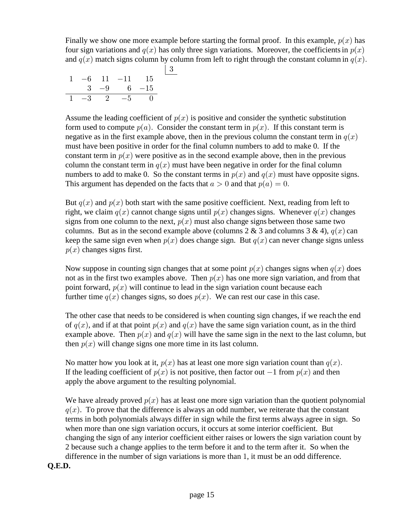Finally we show one more example before starting the formal proof. In this example,  $p(x)$  has four sign variations and  $q(x)$  has only three sign variations. Moreover, the coefficients in  $p(x)$ and  $q(x)$  match signs column by column from left to right through the constant column in  $q(x)$ .

|  |  |                    | 3 |
|--|--|--------------------|---|
|  |  | $1 -6$ 11 $-11$ 15 |   |
|  |  | $3 -9 6 -15$       |   |
|  |  | $1 -3 2 -5 0$      |   |

Assume the leading coefficient of  $p(x)$  is positive and consider the synthetic substitution form used to compute  $p(a)$ . Consider the constant term in  $p(x)$ . If this constant term is negative as in the first example above, then in the previous column the constant term in  $q(x)$  must have been positive in order for the final column numbers to add to make 0. If the constant term in  $p(x)$  were positive as in the second example above, then in the previous column the constant term in  $q(x)$  must have been negative in order for the final column numbers to add to make 0. So the constant terms in  $p(x)$  and  $q(x)$  must have opposite signs. This argument has depended on the facts that  $a > 0$  and that  $p(a) = 0$ .

But  $q(x)$  and  $p(x)$  both start with the same positive coefficient. Next, reading from left to right, we claim  $q(x)$  cannot change signs until  $p(x)$  changes signs. Whenever  $q(x)$  changes signs from one column to the next,  $p(x)$  must also change signs between those same two columns. But as in the second example above (columns 2 & 3 and columns 3 & 4),  $q(x)$  can keep the same sign even when  $p(x)$  does change sign. But  $q(x)$  can never change signs unless  $p(x)$  changes signs first.

Now suppose in counting sign changes that at some point  $p(x)$  changes signs when  $q(x)$  does not as in the first two examples above. Then  $p(x)$  has one more sign variation, and from that point forward,  $p(x)$  will continue to lead in the sign variation count because each further time  $q(x)$  changes signs, so does  $p(x)$ . We can rest our case in this case.

 The other case that needs to be considered is when counting sign changes, if we reach the end of  $q(x)$ , and if at that point  $p(x)$  and  $q(x)$  have the same sign variation count, as in the third example above. Then  $p(x)$  and  $q(x)$  will have the same sign in the next to the last column, but then  $p(x)$  will change signs one more time in its last column.

No matter how you look at it,  $p(x)$  has at least one more sign variation count than  $q(x)$ . If the leading coefficient of  $p(x)$  is not positive, then factor out  $-1$  from  $p(x)$  and then apply the above argument to the resulting polynomial.

We have already proved  $p(x)$  has at least one more sign variation than the quotient polynomial  $q(x)$ . To prove that the difference is always an odd number, we reiterate that the constant terms in both polynomials always differ in sign while the first terms always agree in sign. So when more than one sign variation occurs, it occurs at some interior coefficient. But changing the sign of any interior coefficient either raises or lowers the sign variation count by 2 because such a change applies to the term before it and to the term after it. So when the difference in the number of sign variations is more than  $1$ , it must be an odd difference.  **Q.E.D.**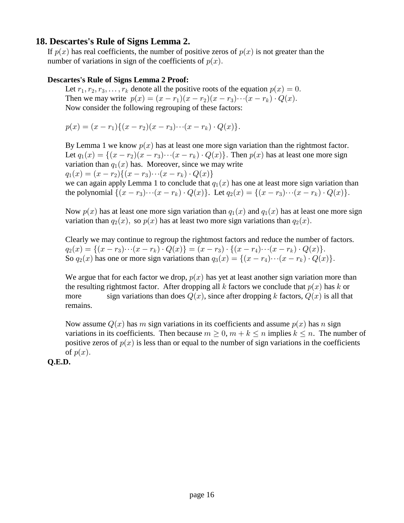### **18. Descartes's Rule of Signs Lemma 2.**

If  $p(x)$  has real coefficients, the number of positive zeros of  $p(x)$  is not greater than the number of variations in sign of the coefficients of  $p(x)$ .

### **Descartes's Rule of Signs Lemma 2 Proof:**

Let  $r_1, r_2, r_3, \ldots, r_k$  denote all the positive roots of the equation  $p(x) = 0$ . Then we may write  $p(x) = (x - r_1)(x - r_2)(x - r_3) \cdots (x - r_k) \cdot Q(x)$ . Now consider the following regrouping of these factors:

$$
p(x) = (x - r_1)\{(x - r_2)(x - r_3) \cdots (x - r_k) \cdot Q(x)\}.
$$

By Lemma 1 we know  $p(x)$  has at least one more sign variation than the rightmost factor. Let  $q_1(x) = \{(x - r_2)(x - r_3) \cdots (x - r_k) \cdot Q(x)\}\.$  Then  $p(x)$  has at least one more sign variation than  $q_1(x)$  has. Moreover, since we may write  $q_1(x) = (x - r_2)\{(x - r_3)\cdots(x - r_k) \cdot Q(x)\}\;$ 

we can again apply Lemma 1 to conclude that  $q_1(x)$  has one at least more sign variation than the polynomial  $\{(x - r_3) \cdots (x - r_k) \cdot Q(x)\}\)$ . Let  $q_2(x) = \{(x - r_3) \cdots (x - r_k) \cdot Q(x)\}\$ .

Now  $p(x)$  has at least one more sign variation than  $q_1(x)$  and  $q_1(x)$  has at least one more sign variation than  $q_2(x)$ , so  $p(x)$  has at least two more sign variations than  $q_2(x)$ .

 Clearly we may continue to regroup the rightmost factors and reduce the number of factors.  $q_2(x) = \{(x - r_3) \cdots (x - r_k) \cdot Q(x)\} = (x - r_3) \cdot \{(x - r_4) \cdots (x - r_k) \cdot Q(x)\}.$ So  $q_2(x)$  has one or more sign variations than  $q_3(x) = \{(x - r_4) \cdots (x - r_k) \cdot Q(x)\}.$ 

We argue that for each factor we drop,  $p(x)$  has yet at least another sign variation more than the resulting rightmost factor. After dropping all k factors we conclude that  $p(x)$  has k or more sign variations than does  $Q(x)$ , since after dropping k factors,  $Q(x)$  is all that remains.

Now assume  $Q(x)$  has m sign variations in its coefficients and assume  $p(x)$  has n sign variations in its coefficients. Then because  $m \geq 0$ ,  $m + k \leq n$  implies  $k \leq n$ . The number of positive zeros of  $p(x)$  is less than or equal to the number of sign variations in the coefficients of  $p(x)$ .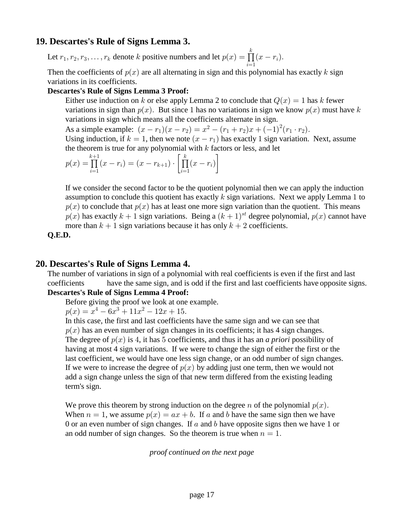# **19. Descartes's Rule of Signs Lemma 3.**

Let  $r_1, r_2, r_3, \ldots, r_k$  denote k positive numbers and let  $p(x) = \prod (x - r_i)$ .  $\frac{i-1}{i}$  $\frac{k}{\prod}$ 

Then the coefficients of  $p(x)$  are all alternating in sign and this polynomial has exactly k sign variations in its coefficients.

### **Descartes's Rule of Signs Lemma 3 Proof:**

Either use induction on k or else apply Lemma 2 to conclude that  $Q(x) = 1$  has k fewer variations in sign than  $p(x)$ . But since 1 has no variations in sign we know  $p(x)$  must have k variations in sign which means all the coefficients alternate in sign.

As a simple example:  $(x - r_1)(x - r_2) = x^2 - (r_1 + r_2)x + (-1)^2(r_1 \cdot r_2)$ .

Using induction, if  $k = 1$ , then we note  $(x - r_1)$  has exactly 1 sign variation. Next, assume the theorem is true for any polynomial with  $k$  factors or less, and let

$$
p(x) = \prod_{i=1}^{k+1} (x - r_i) = (x - r_{k+1}) \cdot \left[ \prod_{i=1}^{k} (x - r_i) \right]
$$

 If we consider the second factor to be the quotient polynomial then we can apply the induction assumption to conclude this quotient has exactly k sign variations. Next we apply Lemma 1 to  $p(x)$  to conclude that  $p(x)$  has at least one more sign variation than the quotient. This means  $p(x)$  has exactly  $k + 1$  sign variations. Being a  $(k + 1)^{st}$  degree polynomial,  $p(x)$  cannot have more than  $k + 1$  sign variations because it has only  $k + 2$  coefficients.

 **Q.E.D.**

### **20. Descartes's Rule of Signs Lemma 4.**

 The number of variations in sign of a polynomial with real coefficients is even if the first and last coefficients have the same sign, and is odd if the first and last coefficients have opposite signs.  **Descartes's Rule of Signs Lemma 4 Proof:**

# Before giving the proof we look at one example.

 $p(x) = x^4 - 6x^3 + 11x^2 - 12x + 15.$ 

 In this case, the first and last coefficients have the same sign and we can see that  $p(x)$  has an even number of sign changes in its coefficients; it has 4 sign changes. The degree of  $p(x)$  is 4, it has 5 coefficients, and thus it has an *a priori* possibility of having at most 4 sign variations. If we were to change the sign of either the first or the last coefficient, we would have one less sign change, or an odd number of sign changes. If we were to increase the degree of  $p(x)$  by adding just one term, then we would not add a sign change unless the sign of that new term differed from the existing leading term's sign.

We prove this theorem by strong induction on the degree n of the polynomial  $p(x)$ . When  $n = 1$ , we assume  $p(x) = ax + b$ . If a and b have the same sign then we have 0 or an even number of sign changes. If a and b have opposite signs then we have 1 or an odd number of sign changes. So the theorem is true when  $n = 1$ .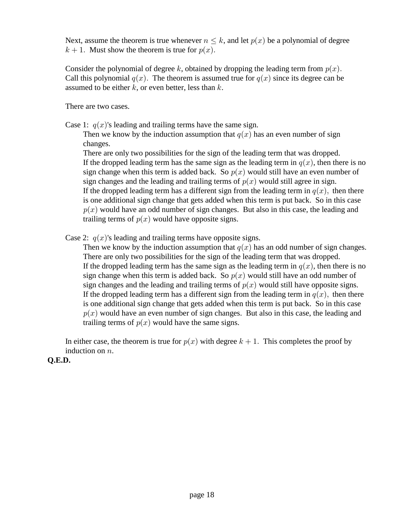Next, assume the theorem is true whenever  $n \leq k$ , and let  $p(x)$  be a polynomial of degree  $k + 1$ . Must show the theorem is true for  $p(x)$ .

Consider the polynomial of degree k, obtained by dropping the leading term from  $p(x)$ . Call this polynomial  $q(x)$ . The theorem is assumed true for  $q(x)$  since its degree can be assumed to be either  $k$ , or even better, less than  $k$ .

There are two cases.

Case 1:  $q(x)$ 's leading and trailing terms have the same sign.

Then we know by the induction assumption that  $q(x)$  has an even number of sign changes.

 There are only two possibilities for the sign of the leading term that was dropped. If the dropped leading term has the same sign as the leading term in  $q(x)$ , then there is no sign change when this term is added back. So  $p(x)$  would still have an even number of sign changes and the leading and trailing terms of  $p(x)$  would still agree in sign. If the dropped leading term has a different sign from the leading term in  $q(x)$ , then there is one additional sign change that gets added when this term is put back. So in this case  $p(x)$  would have an odd number of sign changes. But also in this case, the leading and trailing terms of  $p(x)$  would have opposite signs.

Case 2:  $q(x)$ 's leading and trailing terms have opposite signs.

Then we know by the induction assumption that  $q(x)$  has an odd number of sign changes. There are only two possibilities for the sign of the leading term that was dropped. If the dropped leading term has the same sign as the leading term in  $q(x)$ , then there is no sign change when this term is added back. So  $p(x)$  would still have an odd number of sign changes and the leading and trailing terms of  $p(x)$  would still have opposite signs. If the dropped leading term has a different sign from the leading term in  $q(x)$ , then there is one additional sign change that gets added when this term is put back. So in this case  $p(x)$  would have an even number of sign changes. But also in this case, the leading and trailing terms of  $p(x)$  would have the same signs.

In either case, the theorem is true for  $p(x)$  with degree  $k + 1$ . This completes the proof by induction on  $n$ .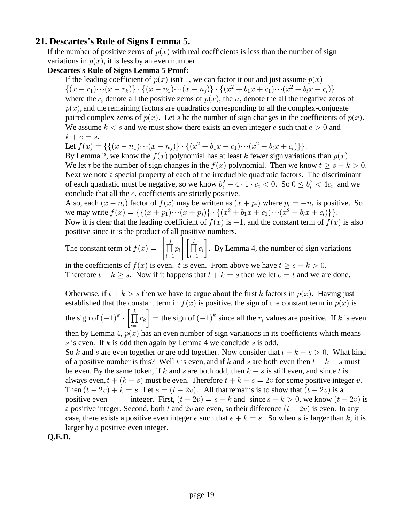# **21. Descartes's Rule of Signs Lemma 5.**

If the number of positive zeros of  $p(x)$  with real coefficients is less than the number of sign variations in  $p(x)$ , it is less by an even number.

### **Descartes's Rule of Signs Lemma 5 Proof:**

If the leading coefficient of  $p(x)$  isn't 1, we can factor it out and just assume  $p(x) =$  $\{(x - r_1) \cdots (x - r_k)\} \cdot \{(x - n_1) \cdots (x - n_j)\} \cdot \{(x^2 + b_1 x + c_1) \cdots (x^2 + b_l x + c_l)\}$ where the  $r_i$  denote all the positive zeros of  $p(x)$ , the  $n_i$  denote the all the negative zeros of  $p(x)$ , and the remaining factors are quadratics corresponding to all the complex-conjugate paired complex zeros of  $p(x)$ . Let s be the number of sign changes in the coefficients of  $p(x)$ . We assume  $k < s$  and we must show there exists an even integer e such that  $e > 0$  and  $k + e = s.$ 

Let 
$$
f(x) = \{ \{ (x - n_1) \cdots (x - n_j) \} \cdot \{ (x^2 + b_1 x + c_1) \cdots (x^2 + b_l x + c_l) \} \}.
$$

By Lemma 2, we know the  $f(x)$  polynomial has at least k fewer sign variations than  $p(x)$ . We let t be the number of sign changes in the  $f(x)$  polynomial. Then we know  $t \geq s - k > 0$ . Next we note a special property of each of the irreducible quadratic factors. The discriminant of each quadratic must be negative, so we know  $b_i^2 - 4 \cdot 1 \cdot c_i < 0$ . So  $0 \le b_i^2 < 4c_i$  and we conclude that all the  $c_i$  coefficients are strictly positive.

Also, each  $(x - n_i)$  factor of  $f(x)$  may be written as  $(x + p_i)$  where  $p_i = -n_i$  is positive. So we may write  $f(x) = \{ \{ (x+p_1)\cdots(x+p_j) \} \cdot \{ (x^2+b_1x+c_1)\cdots(x^2+b_lx+c_l) \} \}.$ Now it is clear that the leading coefficient of  $f(x)$  is  $+1$ , and the constant term of  $f(x)$  is also positive since it is the product of all positive numbers.

The constant term of  $f(x) = \left| \prod_{i=1}^{j} p_i \right| \left[ \prod_{i=1}^{l} c_i \right]$ . By Lemma 4, the number of sign variations  $i \mid \textcolor{red}{|} 11C_i$  $\mathcal{U}$ 

in the coefficients of  $f(x)$  is even. *t* is even. From above we have  $t > s - k > 0$ . Therefore  $t + k \geq s$ . Now if it happens that  $t + k = s$  then we let  $e = t$  and we are done.

Otherwise, if  $t+k > s$  then we have to argue about the first k factors in  $p(x)$ . Having just established that the constant term in  $f(x)$  is positive, the sign of the constant term in  $p(x)$  is the sign of  $(-1)^k \cdot \left[ \prod_{i=1}^n r_k \right] =$  the sign of  $(-1)^k$  since all the  $r_i$  values are positive. If k is even  $\boldsymbol{k}$  $k_{\parallel}$  = the sign of  $(-1)$  since all the  $r_i$ then by Lemma 4,  $p(x)$  has an even number of sign variations in its coefficients which means s is even. If k is odd then again by Lemma 4 we conclude s is odd. So k and s are even together or are odd together. Now consider that  $t + k - s > 0$ . What kind

of a positive number is this? Well t is even, and if k and s are both even then  $t + k - s$  must be even. By the same token, if k and s are both odd, then  $k - s$  is still even, and since t is always even,  $t + (k - s)$  must be even. Therefore  $t + k - s = 2v$  for some positive integer v. Then  $(t - 2v) + k = s$ . Let  $e = (t - 2v)$ . All that remains is to show that  $(t - 2v)$  is a positive even integer. First,  $(t - 2v) = s - k$  and since  $s - k > 0$ , we know  $(t - 2v)$  is a positive integer. Second, both t and 2v are even, so their difference  $(t - 2v)$  is even. In any case, there exists a positive even integer e such that  $e + k = s$ . So when s is larger than k, it is larger by a positive even integer.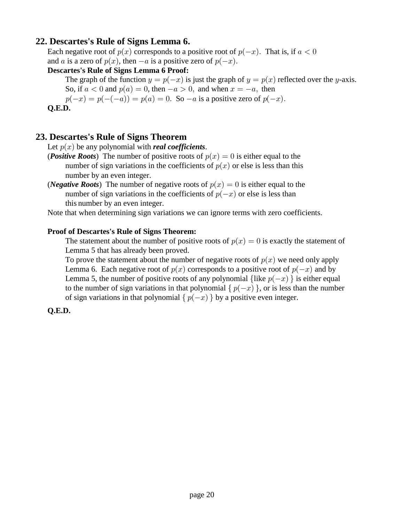# **22. Descartes's Rule of Signs Lemma 6.**

Each negative root of  $p(x)$  corresponds to a positive root of  $p(-x)$ . That is, if  $a < 0$ and a is a zero of  $p(x)$ , then  $-a$  is a positive zero of  $p(-x)$ .

### **Descartes's Rule of Signs Lemma 6 Proof:**

The graph of the function  $y = p(-x)$  is just the graph of  $y = p(x)$  reflected over the y-axis. So, if  $a < 0$  and  $p(a) = 0$ , then  $-a > 0$ , and when  $x = -a$ , then

 $p(-x) = p(-(-a)) = p(a) = 0$ . So  $-a$  is a positive zero of  $p(-x)$ .

 **Q.E.D.**

# **23. Descartes's Rule of Signs Theorem**

Let  $p(x)$  be any polynomial with *real coefficients*.

- (*Positive Roots*) The number of positive roots of  $p(x) = 0$  is either equal to the number of sign variations in the coefficients of  $p(x)$  or else is less than this number by an even integer.
- (*Negative Roots*) The number of negative roots of  $p(x) = 0$  is either equal to the number of sign variations in the coefficients of  $p(-x)$  or else is less than this number by an even integer.

Note that when determining sign variations we can ignore terms with zero coefficients.

#### **Proof of Descartes's Rule of Signs Theorem:**

The statement about the number of positive roots of  $p(x) = 0$  is exactly the statement of Lemma 5 that has already been proved.

To prove the statement about the number of negative roots of  $p(x)$  we need only apply Lemma 6. Each negative root of  $p(x)$  corresponds to a positive root of  $p(-x)$  and by Lemma 5, the number of positive roots of any polynomial {like  $p(-x)$ } is either equal to the number of sign variations in that polynomial  $\{p(-x)\}\$ , or is less than the number of sign variations in that polynomial  $\{p(-x)\}\$  by a positive even integer.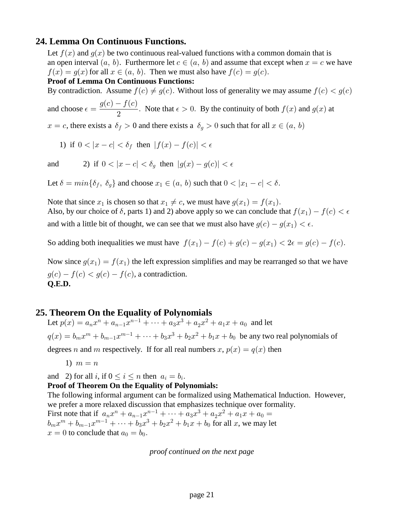### **24. Lemma On Continuous Functions.**

Let  $f(x)$  and  $g(x)$  be two continuous real-valued functions with a common domain that is an open interval  $(a, b)$ . Furthermore let  $c \in (a, b)$  and assume that except when  $x = c$  we have  $f(x) = g(x)$  for all  $x \in (a, b)$ . Then we must also have  $f(c) = g(c)$ .

### **Proof of Lemma On Continuous Functions:**

By contradiction. Assume  $f(c) \neq g(c)$ . Without loss of generality we may assume  $f(c) < g(c)$ 

and choose  $\epsilon = \frac{g(c) - f(c)}{2}$ . Note that  $\epsilon > 0$ . By the continuity of both  $f(x)$  and  $g(x)$  at  $\overline{c}$ 

 $x = c$ , there exists a  $\delta_f > 0$  and there exists a  $\delta_g > 0$  such that for all  $x \in (a, b)$ 

$$
1) \text{ if } 0 < |x - c| < \delta_f \text{ then } |f(x) - f(c)| < \epsilon
$$

$$
\qquad \qquad \text{and} \qquad \qquad 2) \ \ \text{if} \ \ 0<|x-c|<\delta_g \ \ \text{then} \ \ |g(x)-g(c)|<\epsilon
$$

Let  $\delta = min\{\delta_f, \delta_q\}$  and choose  $x_1 \in (a, b)$  such that  $0 < |x_1 - c| < \delta$ .

Note that since  $x_1$  is chosen so that  $x_1 \neq c$ , we must have  $g(x_1) = f(x_1)$ . Also, by our choice of  $\delta$ , parts 1) and 2) above apply so we can conclude that  $f(x_1) - f(c) < \epsilon$ and with a little bit of thought, we can see that we must also have  $g(c) - g(x_1) < \epsilon$ .

So adding both inequalities we must have  $f(x_1) - f(c) + g(c) - g(x_1) < 2\epsilon = g(c) - f(c)$ .

Now since  $q(x_1) = f(x_1)$  the left expression simplifies and may be rearranged so that we have  $g(c) - f(c) < g(c) - f(c)$ , a contradiction.  **Q.E.D.**

# **25. Theorem On the Equality of Polynomials**

Let  $p(x) = a_n x^n + a_{n-1} x^{n-1} + \dots + a_3 x^3 + a_2 x^2 + a_1 x + a_0$  and let  $p(x) = b_m x^m + b_{m-1} x^{m-1} + \dots + b_3 x^3 + b_2 x^2 + b_1 x + b_0$  be any two real polynomials of degrees n and m respectively. If for all real numbers x,  $p(x) = q(x)$  then

1)  $m = n$ 

and 2) for all i, if  $0 \le i \le n$  then  $a_i = b_i$ .

#### **Proof of Theorem On the Equality of Polynomials:**

 The following informal argument can be formalized using Mathematical Induction. However, we prefer a more relaxed discussion that emphasizes technique over formality.

First note that if  $a_n x^n + a_{n-1} x^{n-1} + \cdots + a_3 x^3 + a_2 x^2 + a_1 x + a_0 =$  $b_m x^m + b_{m-1} x^{m-1} + \dots + b_3 x^3 + b_2 x^2 + b_1 x + b_0$  for all x, we may let  $x = 0$  to conclude that  $a_0 = b_0$ .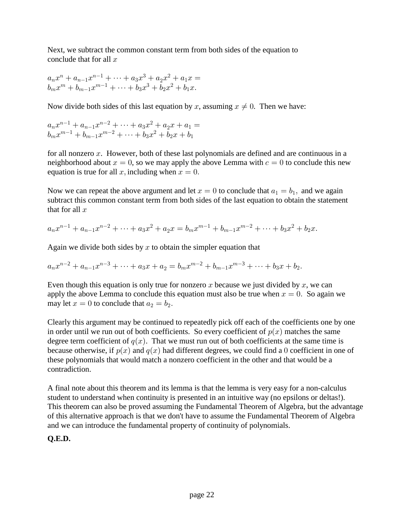Next, we subtract the common constant term from both sides of the equation to conclude that for all  $x$ 

$$
a_n x^n + a_{n-1} x^{n-1} + \dots + a_3 x^3 + a_2 x^2 + a_1 x =
$$
  

$$
b_m x^m + b_{m-1} x^{m-1} + \dots + b_3 x^3 + b_2 x^2 + b_1 x.
$$

Now divide both sides of this last equation by x, assuming  $x \neq 0$ . Then we have:

$$
a_n x^{n-1} + a_{n-1} x^{n-2} + \dots + a_3 x^2 + a_2 x + a_1 =
$$
  

$$
b_m x^{m-1} + b_{m-1} x^{m-2} + \dots + b_3 x^2 + b_2 x + b_1
$$

for all nonzero  $x$ . However, both of these last polynomials are defined and are continuous in a neighborhood about  $x = 0$ , so we may apply the above Lemma with  $c = 0$  to conclude this new equation is true for all x, including when  $x = 0$ .

Now we can repeat the above argument and let  $x = 0$  to conclude that  $a_1 = b_1$ , and we again subtract this common constant term from both sides of the last equation to obtain the statement that for all  $x$ 

$$
a_nx^{n-1} + a_{n-1}x^{n-2} + \dots + a_3x^2 + a_2x = b_mx^{m-1} + b_{m-1}x^{m-2} + \dots + b_3x^2 + b_2x.
$$

Again we divide both sides by  $x$  to obtain the simpler equation that

$$
a_nx^{n-2} + a_{n-1}x^{n-3} + \cdots + a_3x + a_2 = b_mx^{m-2} + b_{m-1}x^{m-3} + \cdots + b_3x + b_2.
$$

Even though this equation is only true for nonzero x because we just divided by x, we can apply the above Lemma to conclude this equation must also be true when  $x = 0$ . So again we may let  $x = 0$  to conclude that  $a_2 = b_2$ .

 Clearly this argument may be continued to repeatedly pick off each of the coefficients one by one in order until we run out of both coefficients. So every coefficient of  $p(x)$  matches the same degree term coefficient of  $q(x)$ . That we must run out of both coefficients at the same time is because otherwise, if  $p(x)$  and  $q(x)$  had different degrees, we could find a 0 coefficient in one of these polynomials that would match a nonzero coefficient in the other and that would be a contradiction.

 A final note about this theorem and its lemma is that the lemma is very easy for a non-calculus student to understand when continuity is presented in an intuitive way (no epsilons or deltas!). This theorem can also be proved assuming the Fundamental Theorem of Algebra, but the advantage of this alternative approach is that we don't have to assume the Fundamental Theorem of Algebra and we can introduce the fundamental property of continuity of polynomials.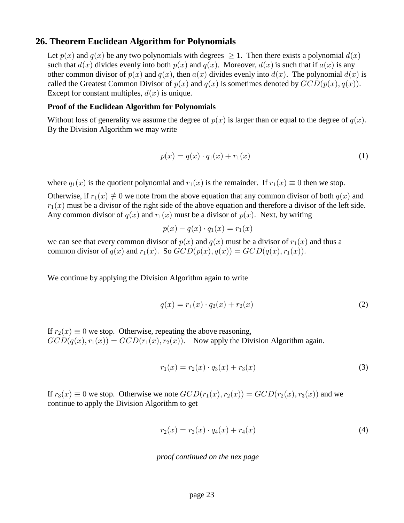### **26. Theorem Euclidean Algorithm for Polynomials**

Let  $p(x)$  and  $q(x)$  be any two polynomials with degrees  $\geq 1$ . Then there exists a polynomial  $d(x)$ such that  $d(x)$  divides evenly into both  $p(x)$  and  $q(x)$ . Moreover,  $d(x)$  is such that if  $a(x)$  is any other common divisor of  $p(x)$  and  $q(x)$ , then  $a(x)$  divides evenly into  $d(x)$ . The polynomial  $d(x)$  is called the Greatest Common Divisor of  $p(x)$  and  $q(x)$  is sometimes denoted by  $GCD(p(x), q(x))$ . Except for constant multiples,  $d(x)$  is unique.

### **Proof of the Euclidean Algorithm for Polynomials**

Without loss of generality we assume the degree of  $p(x)$  is larger than or equal to the degree of  $q(x)$ . By the Division Algorithm we may write

$$
p(x) = q(x) \cdot q_1(x) + r_1(x) \tag{1}
$$

where  $q_1(x)$  is the quotient polynomial and  $r_1(x)$  is the remainder. If  $r_1(x) \equiv 0$  then we stop.

Otherwise, if  $r_1(x) \neq 0$  we note from the above equation that any common divisor of both  $q(x)$  and  $r_1(x)$  must be a divisor of the right side of the above equation and therefore a divisor of the left side. Any common divisor of  $q(x)$  and  $r_1(x)$  must be a divisor of  $p(x)$ . Next, by writing

$$
p(x) - q(x) \cdot q_1(x) = r_1(x)
$$

we can see that every common divisor of  $p(x)$  and  $q(x)$  must be a divisor of  $r_1(x)$  and thus a common divisor of  $q(x)$  and  $r_1(x)$ . So  $GCD(p(x), q(x)) = GCD(q(x), r_1(x))$ .

We continue by applying the Division Algorithm again to write

$$
q(x) = r_1(x) \cdot q_2(x) + r_2(x) \tag{2}
$$

If  $r_2(x) \equiv 0$  we stop. Otherwise, repeating the above reasoning,  $GCD(q(x), r_1(x)) = GCD(r_1(x), r_2(x))$ . Now apply the Division Algorithm again.

$$
r_1(x) = r_2(x) \cdot q_3(x) + r_3(x) \tag{3}
$$

If  $r_3(x) \equiv 0$  we stop. Otherwise we note  $GCD(r_1(x), r_2(x)) = GCD(r_2(x), r_3(x))$  and we continue to apply the Division Algorithm to get

$$
r_2(x) = r_3(x) \cdot q_4(x) + r_4(x) \tag{4}
$$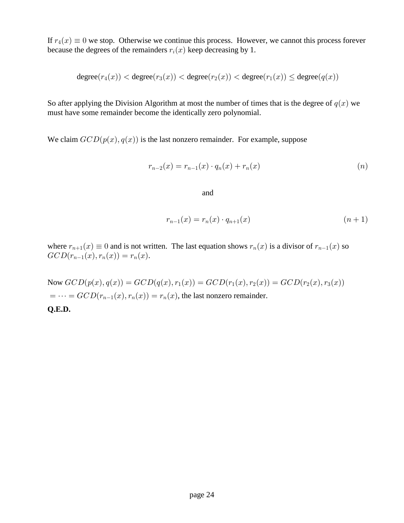If  $r_4(x) \equiv 0$  we stop. Otherwise we continue this process. However, we cannot this process forever because the degrees of the remainders  $r_i(x)$  keep decreasing by 1.

$$
\text{degree}(r_4(x)) < \text{degree}(r_3(x)) < \text{degree}(r_2(x)) < \text{degree}(r_1(x)) \leq \text{degree}(q(x))
$$

So after applying the Division Algorithm at most the number of times that is the degree of  $q(x)$  we must have some remainder become the identically zero polynomial.

We claim  $GCD(p(x), q(x))$  is the last nonzero remainder. For example, suppose

$$
r_{n-2}(x) = r_{n-1}(x) \cdot q_n(x) + r_n(x) \tag{n}
$$

and

$$
r_{n-1}(x) = r_n(x) \cdot q_{n+1}(x) \tag{n+1}
$$

where  $r_{n+1}(x) \equiv 0$  and is not written. The last equation shows  $r_n(x)$  is a divisor of  $r_{n-1}(x)$  so  $GCD(r_{n-1}(x), r_n(x)) = r_n(x).$ 

Now  $GCD(p(x), q(x)) = GCD(q(x), r_1(x)) = GCD(r_1(x), r_2(x)) = GCD(r_2(x), r_3(x))$  $= \cdots = GCD(r_{n-1}(x), r_n(x)) = r_n(x)$ , the last nonzero remainder.  **Q.E.D.**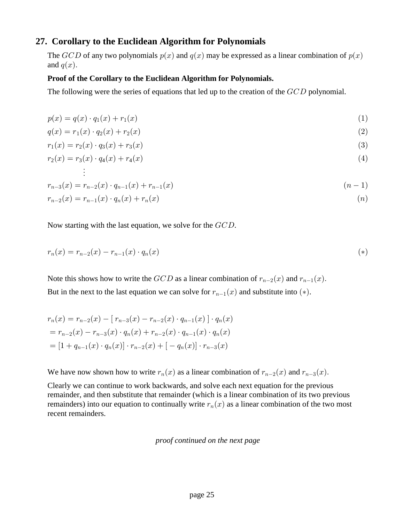# **27. Corollary to the Euclidean Algorithm for Polynomials**

The  $GCD$  of any two polynomials  $p(x)$  and  $q(x)$  may be expressed as a linear combination of  $p(x)$ and  $q(x)$ .

#### **Proof of the Corollary to the Euclidean Algorithm for Polynomials.**

The following were the series of equations that led up to the creation of the  $GCD$  polynomial.

$$
p(x) = q(x) \cdot q_1(x) + r_1(x) \tag{1}
$$

$$
q(x) = r_1(x) \cdot q_2(x) + r_2(x) \tag{2}
$$

$$
r_1(x) = r_2(x) \cdot q_3(x) + r_3(x) \tag{3}
$$

$$
r_2(x) = r_3(x) \cdot q_4(x) + r_4(x) \tag{4}
$$

$$
r_{n-3}(x) = r_{n-2}(x) \cdot q_{n-1}(x) + r_{n-1}(x) \tag{n-1}
$$

$$
r_{n-2}(x) = r_{n-1}(x) \cdot q_n(x) + r_n(x) \tag{n}
$$

Now starting with the last equation, we solve for the  $GCD$ .

]

$$
r_n(x) = r_{n-2}(x) - r_{n-1}(x) \cdot q_n(x) \tag{*}
$$

Note this shows how to write the  $GCD$  as a linear combination of  $r_{n-2}(x)$  and  $r_{n-1}(x)$ . But in the next to the last equation we can solve for  $r_{n-1}(x)$  and substitute into (\*).

$$
r_n(x) = r_{n-2}(x) - [r_{n-3}(x) - r_{n-2}(x) \cdot q_{n-1}(x)] \cdot q_n(x)
$$
  
=  $r_{n-2}(x) - r_{n-3}(x) \cdot q_n(x) + r_{n-2}(x) \cdot q_{n-1}(x) \cdot q_n(x)$   
=  $[1 + q_{n-1}(x) \cdot q_n(x)] \cdot r_{n-2}(x) + [-q_n(x)] \cdot r_{n-3}(x)$ 

We have now shown how to write  $r_n(x)$  as a linear combination of  $r_{n-2}(x)$  and  $r_{n-3}(x)$ .

Clearly we can continue to work backwards, and solve each next equation for the previous remainder, and then substitute that remainder (which is a linear combination of its two previous remainders) into our equation to continually write  $r_n(x)$  as a linear combination of the two most recent remainders.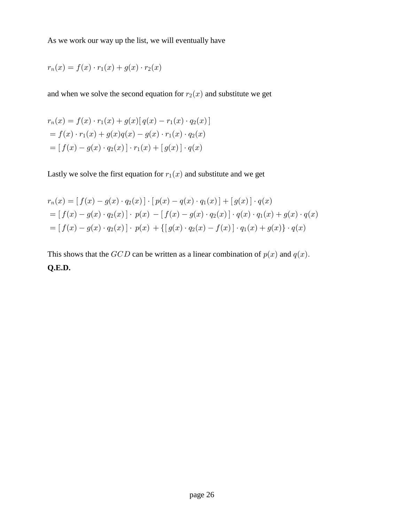As we work our way up the list, we will eventually have

$$
r_n(x) = f(x) \cdot r_1(x) + g(x) \cdot r_2(x)
$$

and when we solve the second equation for  $r_2(x)$  and substitute we get

$$
r_n(x) = f(x) \cdot r_1(x) + g(x) [q(x) - r_1(x) \cdot q_2(x)]
$$
  
=  $f(x) \cdot r_1(x) + g(x)q(x) - g(x) \cdot r_1(x) \cdot q_2(x)$   
=  $[f(x) - g(x) \cdot q_2(x)] \cdot r_1(x) + [g(x)] \cdot q(x)$ 

Lastly we solve the first equation for  $r_1(x)$  and substitute and we get

$$
r_n(x) = [f(x) - g(x) \cdot q_2(x)] \cdot [p(x) - q(x) \cdot q_1(x)] + [g(x)] \cdot q(x)
$$
  
= 
$$
[f(x) - g(x) \cdot q_2(x)] \cdot p(x) - [f(x) - g(x) \cdot q_2(x)] \cdot q(x) \cdot q_1(x) + g(x) \cdot q(x)
$$
  
= 
$$
[f(x) - g(x) \cdot q_2(x)] \cdot p(x) + \{[g(x) \cdot q_2(x) - f(x)] \cdot q_1(x) + g(x)\} \cdot q(x)
$$

This shows that the  $GCD$  can be written as a linear combination of  $p(x)$  and  $q(x)$ .  **Q.E.D.**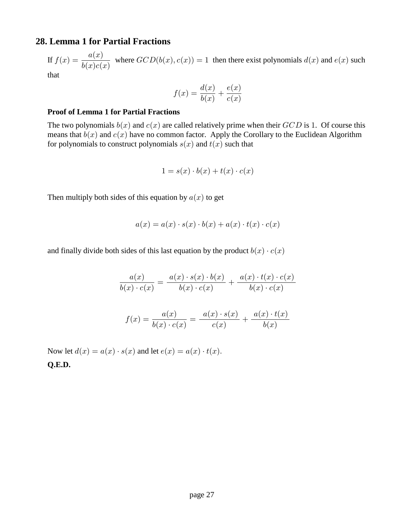# **28. Lemma 1 for Partial Fractions**

If  $f(x) = \frac{a(x)}{b(x) + b(x)}$  where  $GCD(b(x), c(x)) = 1$  then there exist polynomials  $d(x)$  and  $e(x)$  such  $b(x)c(x)$ 

that

$$
f(x) = \frac{d(x)}{b(x)} + \frac{e(x)}{c(x)}
$$

#### **Proof of Lemma 1 for Partial Fractions**

The two polynomials  $b(x)$  and  $c(x)$  are called relatively prime when their  $GCD$  is 1. Of course this means that  $b(x)$  and  $c(x)$  have no common factor. Apply the Corollary to the Euclidean Algorithm for polynomials to construct polynomials  $s(x)$  and  $t(x)$  such that

$$
1 = s(x) \cdot b(x) + t(x) \cdot c(x)
$$

Then multiply both sides of this equation by  $a(x)$  to get

$$
a(x) = a(x) \cdot s(x) \cdot b(x) + a(x) \cdot t(x) \cdot c(x)
$$

and finally divide both sides of this last equation by the product  $b(x) \cdot c(x)$ 

$$
\frac{a(x)}{b(x) \cdot c(x)} = \frac{a(x) \cdot s(x) \cdot b(x)}{b(x) \cdot c(x)} + \frac{a(x) \cdot t(x) \cdot c(x)}{b(x) \cdot c(x)}
$$

$$
f(x) = \frac{a(x)}{b(x) \cdot c(x)} = \frac{a(x) \cdot s(x)}{c(x)} + \frac{a(x) \cdot t(x)}{b(x)}
$$

Now let  $d(x) = a(x) \cdot s(x)$  and let  $e(x) = a(x) \cdot t(x)$ .  **Q.E.D.**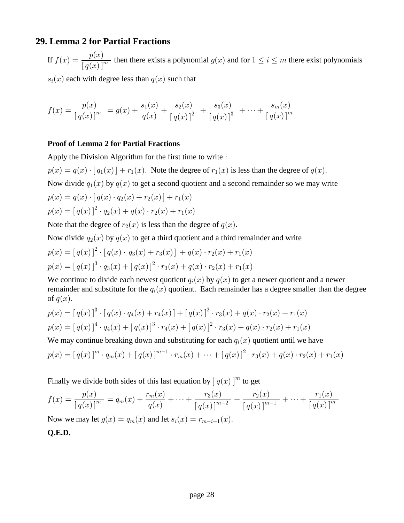# **29. Lemma 2 for Partial Fractions**

If  $f(x) = \frac{p(x)}{[x] \cdot (x+h)^m}$  then there exists a polynomial  $g(x)$  and for  $1 \le i \le m$  there exist polynomials  $\left[ q(x)\right] ^{m}$ 

 $s_i(x)$  each with degree less than  $q(x)$  such that

$$
f(x) = \frac{p(x)}{[q(x)]^m} = g(x) + \frac{s_1(x)}{q(x)} + \frac{s_2(x)}{[q(x)]^2} + \frac{s_3(x)}{[q(x)]^3} + \dots + \frac{s_m(x)}{[q(x)]^m}
$$

#### **Proof of Lemma 2 for Partial Fractions**

Apply the Division Algorithm for the first time to write :

 $p(x) = q(x) \cdot [q_1(x)] + r_1(x)$ . Note the degree of  $r_1(x)$  is less than the degree of  $q(x)$ .

Now divide  $q_1(x)$  by  $q(x)$  to get a second quotient and a second remainder so we may write

$$
p(x) = q(x) \cdot [q(x) \cdot q_2(x) + r_2(x)] + r_1(x)
$$
  

$$
p(x) = [q(x)]^2 \cdot q_2(x) + q(x) \cdot r_2(x) + r_1(x)
$$

Note that the degree of  $r_2(x)$  is less than the degree of  $q(x)$ .

Now divide  $q_2(x)$  by  $q(x)$  to get a third quotient and a third remainder and write

$$
p(x) = [q(x)]^2 \cdot [q(x) \cdot q_3(x) + r_3(x)] + q(x) \cdot r_2(x) + r_1(x)
$$
  

$$
p(x) = [q(x)]^3 \cdot q_3(x) + [q(x)]^2 \cdot r_3(x) + q(x) \cdot r_2(x) + r_1(x)
$$

We continue to divide each newest quotient  $q_i(x)$  by  $q(x)$  to get a newer quotient and a newer remainder and substitute for the  $q_i(x)$  quotient. Each remainder has a degree smaller than the degree of  $q(x)$ .

$$
p(x) = [q(x)]^3 \cdot [q(x) \cdot q_4(x) + r_4(x)] + [q(x)]^2 \cdot r_3(x) + q(x) \cdot r_2(x) + r_1(x)
$$
  

$$
p(x) = [q(x)]^4 \cdot q_4(x) + [q(x)]^3 \cdot r_4(x) + [q(x)]^2 \cdot r_3(x) + q(x) \cdot r_2(x) + r_1(x)
$$

We may continue breaking down and substituting for each  $q_i(x)$  quotient until we have

$$
p(x) = [q(x)]^{m} \cdot q_{m}(x) + [q(x)]^{m-1} \cdot r_{m}(x) + \cdots + [q(x)]^{2} \cdot r_{3}(x) + q(x) \cdot r_{2}(x) + r_{1}(x)
$$

Finally we divide both sides of this last equation by  $[q(x)]^m$  to get

$$
f(x) = \frac{p(x)}{[q(x)]^m} = q_m(x) + \frac{r_m(x)}{q(x)} + \dots + \frac{r_3(x)}{[q(x)]^{m-2}} + \frac{r_2(x)}{[q(x)]^{m-1}} + \dots + \frac{r_1(x)}{[q(x)]^m}
$$

Now we may let  $g(x) = q_m(x)$  and let  $s_i(x) = r_{m-i+1}(x)$ .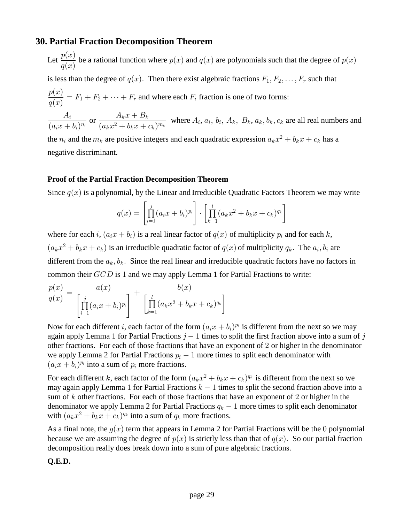# **30. Partial Fraction Decomposition Theorem**

Let 
$$
\frac{p(x)}{q(x)}
$$
 be a rational function where  $p(x)$  and  $q(x)$  are polynomials such that the degree of  $p(x)$ 

is less than the degree of  $q(x)$ . Then there exist algebraic fractions  $F_1, F_2, \ldots, F_r$  such that

$$
\frac{p(x)}{q(x)} = F_1 + F_2 + \dots + F_r
$$
 and where each  $F_i$  fraction is one of two forms:

 $\frac{A_i}{(a_ix+b_i)^{n_i}}$  or  $\frac{A_kx+B_k}{(a_kx^2+b_kx+c_k)^{m_k}}$  where  $A_i$ ,  $a_i$ ,  $b_i$ ,  $A_k$ ,  $B_k$ ,  $a_k$ ,  $b_k$ ,  $c_k$  are all real numbers and

the  $n_i$  and the  $m_k$  are positive integers and each quadratic expression  $a_k x^2 + b_k x + c_k$  has a negative discriminant.

#### **Proof of the Partial Fraction Decomposition Theorem**

Since  $q(x)$  is a polynomial, by the Linear and Irreducible Quadratic Factors Theorem we may write

$$
q(x) = \left[ \prod_{i=1}^{j} (a_i x + b_i)^{p_i} \right] \cdot \left[ \prod_{k=1}^{l} (a_k x^2 + b_k x + c_k)^{q_k} \right]
$$

where for each i,  $(a_ix + b_i)$  is a real linear factor of  $q(x)$  of multiplicity  $p_i$  and for each k,  $(a_kx^2 + b_kx + c_k)$  is an irreducible quadratic factor of  $q(x)$  of multiplicity  $q_k$ . The  $a_i, b_i$  are different from the  $a_k, b_k$ . Since the real linear and irreducible quadratic factors have no factors in common their  $GCD$  is 1 and we may apply Lemma 1 for Partial Fractions to write:

$$
\frac{p(x)}{q(x)} = \frac{a(x)}{\left[\prod_{i=1}^{j} (a_i x + b_i)^{p_i}\right]} + \frac{b(x)}{\left[\prod_{k=1}^{l} (a_k x^2 + b_k x + c_k)^{q_k}\right]}
$$

Now for each different *i*, each factor of the form  $(a_i x + b_i)^{p_i}$  is different from the next so we may again apply Lemma 1 for Partial Fractions  $j-1$  times to split the first fraction above into a sum of j other fractions. For each of those fractions that have an exponent of 2 or higher in the denominator we apply Lemma 2 for Partial Fractions  $p_i - 1$  more times to split each denominator with  $(a_i x + b_i)^{p_i}$  into a sum of  $p_i$  more fractions.

For each different k, each factor of the form  $(a_kx^2 + b_kx + c_k)^{q_k}$  is different from the next so we may again apply Lemma 1 for Partial Fractions  $k-1$  times to split the second fraction above into a sum of  $k$  other fractions. For each of those fractions that have an exponent of 2 or higher in the denominator we apply Lemma 2 for Partial Fractions  $q_k - 1$  more times to split each denominator with  $(a_kx^2 + b_kx + c_k)^{q_k}$  into a sum of  $q_k$  more fractions.

As a final note, the  $g(x)$  term that appears in Lemma 2 for Partial Fractions will be the 0 polynomial because we are assuming the degree of  $p(x)$  is strictly less than that of  $q(x)$ . So our partial fraction decomposition really does break down into a sum of pure algebraic fractions.